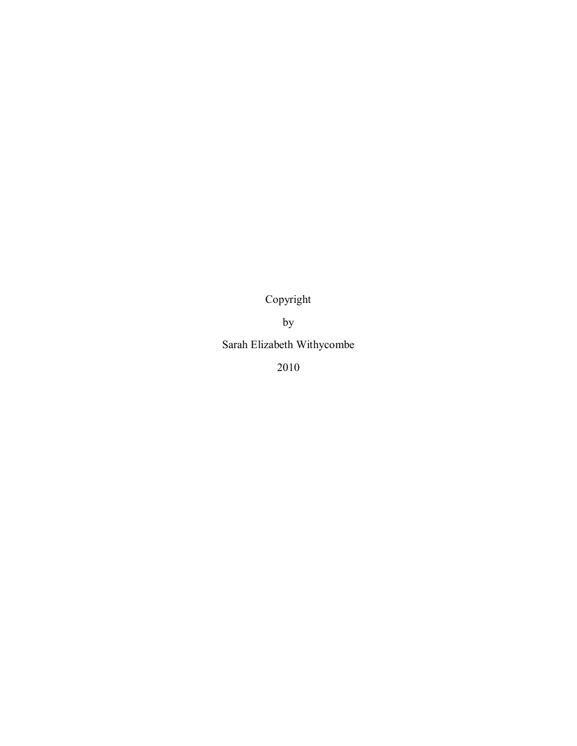Copyright

by

Sarah Elizabeth Withycombe

2010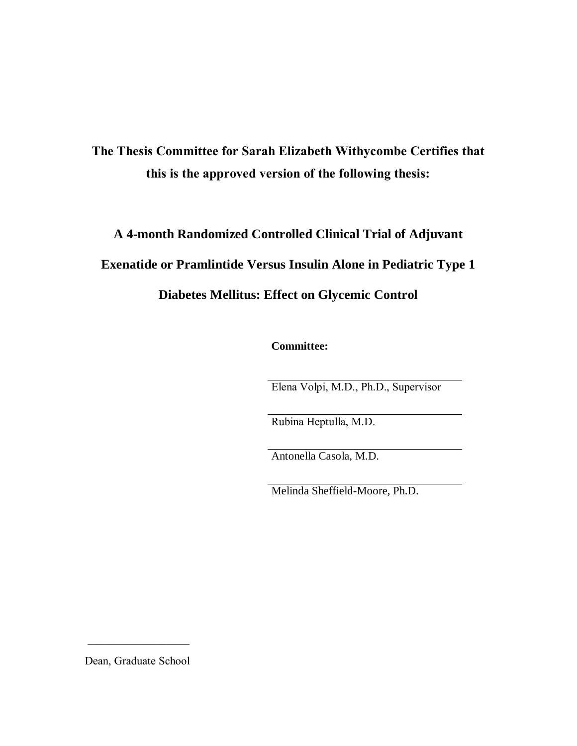**The Thesis Committee for Sarah Elizabeth Withycombe Certifies that this is the approved version of the following thesis:**

# **A 4-month Randomized Controlled Clinical Trial of Adjuvant Exenatide or Pramlintide Versus Insulin Alone in Pediatric Type 1 Diabetes Mellitus: Effect on Glycemic Control**

**Committee:**

Elena Volpi, M.D., Ph.D., Supervisor

Rubina Heptulla, M.D.

Antonella Casola, M.D.

Melinda Sheffield-Moore, Ph.D.

Dean, Graduate School

 $\overline{\phantom{a}}$  , where  $\overline{\phantom{a}}$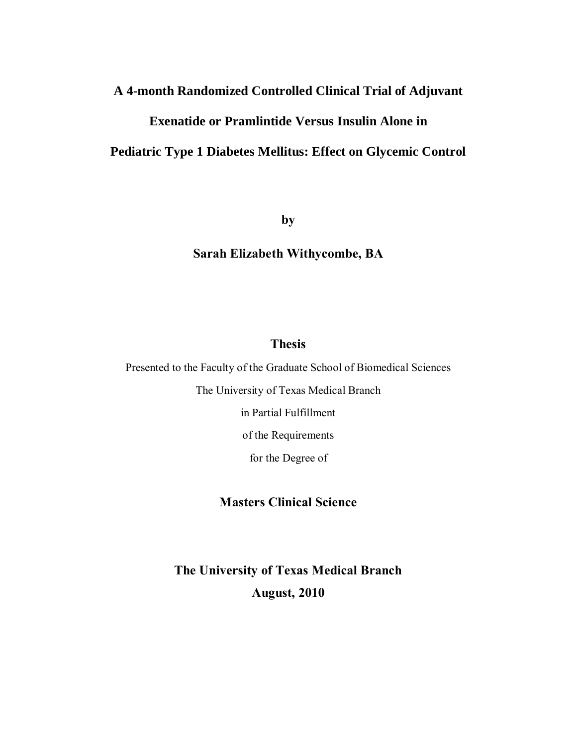# **A 4-month Randomized Controlled Clinical Trial of Adjuvant**

# **Exenatide or Pramlintide Versus Insulin Alone in**

# **Pediatric Type 1 Diabetes Mellitus: Effect on Glycemic Control**

**by**

# **Sarah Elizabeth Withycombe, BA**

#### **Thesis**

Presented to the Faculty of the Graduate School of Biomedical Sciences

The University of Texas Medical Branch

in Partial Fulfillment

of the Requirements

for the Degree of

### **Masters Clinical Science**

**The University of Texas Medical Branch August, 2010**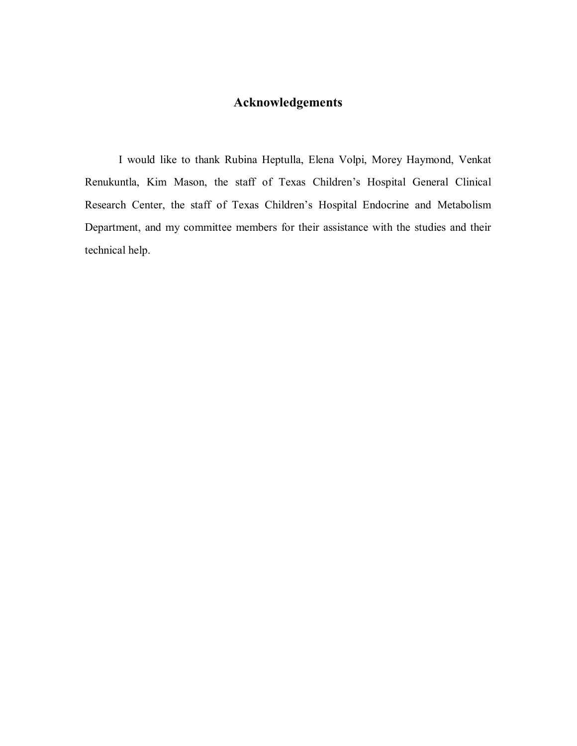# **Acknowledgements**

I would like to thank Rubina Heptulla, Elena Volpi, Morey Haymond, Venkat Renukuntla, Kim Mason, the staff of Texas Children's Hospital General Clinical Research Center, the staff of Texas Children's Hospital Endocrine and Metabolism Department, and my committee members for their assistance with the studies and their technical help.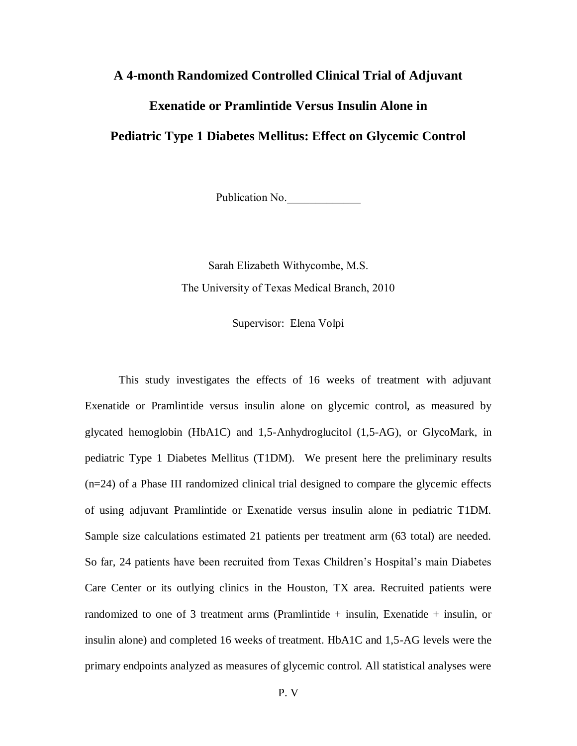#### **A 4-month Randomized Controlled Clinical Trial of Adjuvant**

#### **Exenatide or Pramlintide Versus Insulin Alone in**

### **Pediatric Type 1 Diabetes Mellitus: Effect on Glycemic Control**

Publication No.

Sarah Elizabeth Withycombe, M.S. The University of Texas Medical Branch, 2010

Supervisor: Elena Volpi

This study investigates the effects of 16 weeks of treatment with adjuvant Exenatide or Pramlintide versus insulin alone on glycemic control, as measured by glycated hemoglobin (HbA1C) and 1,5-Anhydroglucitol (1,5-AG), or GlycoMark, in pediatric Type 1 Diabetes Mellitus (T1DM). We present here the preliminary results (n=24) of a Phase III randomized clinical trial designed to compare the glycemic effects of using adjuvant Pramlintide or Exenatide versus insulin alone in pediatric T1DM. Sample size calculations estimated 21 patients per treatment arm (63 total) are needed. So far, 24 patients have been recruited from Texas Children's Hospital's main Diabetes Care Center or its outlying clinics in the Houston, TX area. Recruited patients were randomized to one of 3 treatment arms (Pramlintide + insulin, Exenatide + insulin, or insulin alone) and completed 16 weeks of treatment. HbA1C and 1,5-AG levels were the primary endpoints analyzed as measures of glycemic control. All statistical analyses were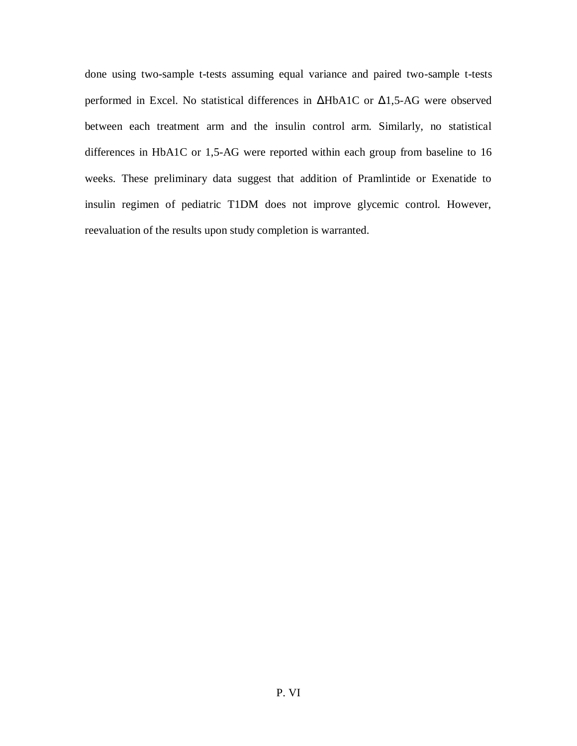done using two-sample t-tests assuming equal variance and paired two-sample t-tests performed in Excel. No statistical differences in ΔHbA1C or Δ1,5-AG were observed between each treatment arm and the insulin control arm. Similarly, no statistical differences in HbA1C or 1,5-AG were reported within each group from baseline to 16 weeks. These preliminary data suggest that addition of Pramlintide or Exenatide to insulin regimen of pediatric T1DM does not improve glycemic control. However, reevaluation of the results upon study completion is warranted.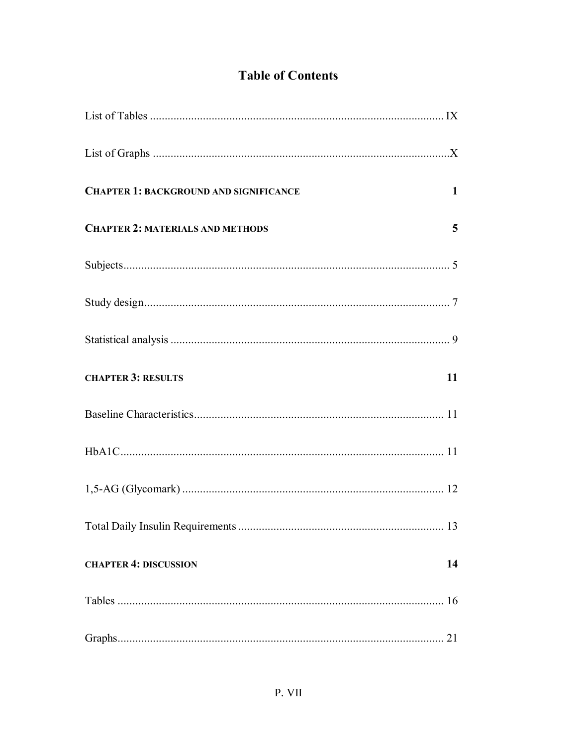# **Table of Contents**

| <b>CHAPTER 1: BACKGROUND AND SIGNIFICANCE</b> | $\mathbf 1$ |
|-----------------------------------------------|-------------|
| <b>CHAPTER 2: MATERIALS AND METHODS</b>       | 5           |
|                                               |             |
|                                               |             |
|                                               |             |
| <b>CHAPTER 3: RESULTS</b>                     | 11          |
|                                               |             |
|                                               |             |
|                                               |             |
| <b>Total Daily Insulin Requirements</b>       | 13          |
| <b>CHAPTER 4: DISCUSSION</b>                  | 14          |
|                                               |             |
|                                               |             |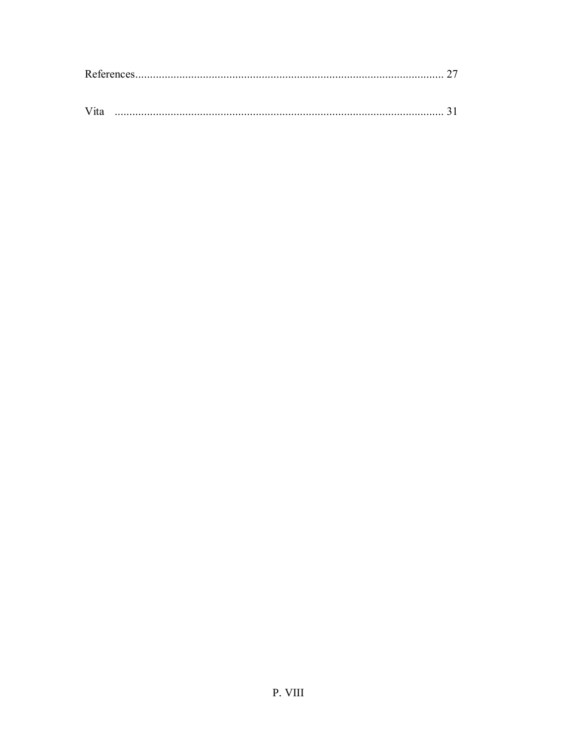| , , , , |  |
|---------|--|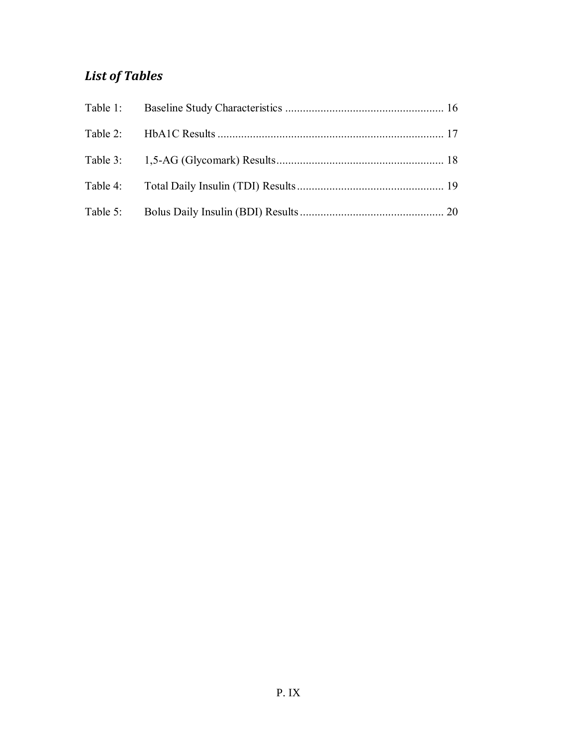# *List of Tables*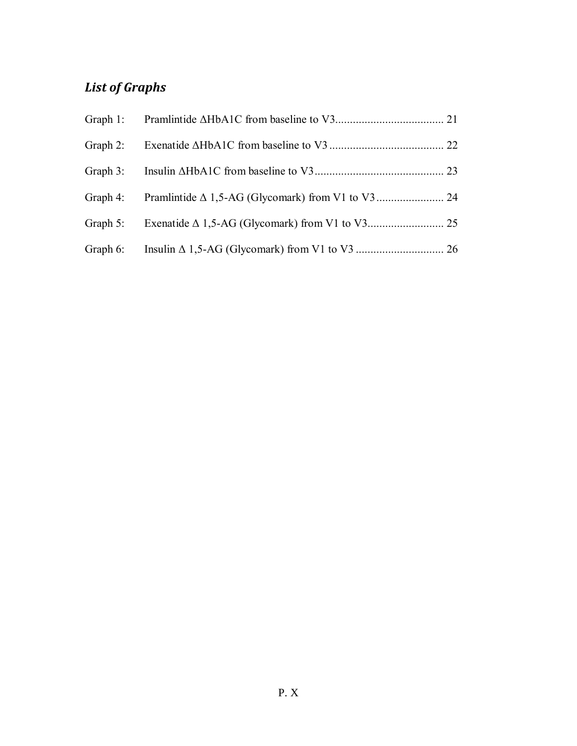# *List of Graphs*

| Graph 2: |  |
|----------|--|
|          |  |
|          |  |
|          |  |
|          |  |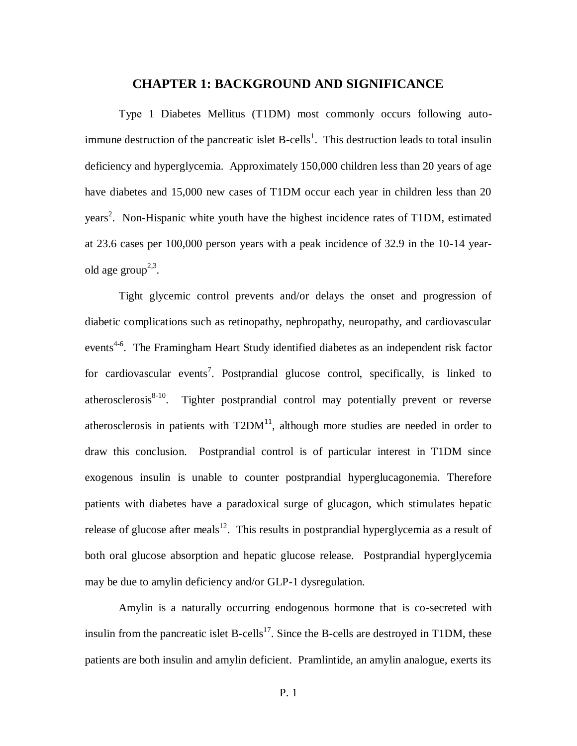#### **CHAPTER 1: BACKGROUND AND SIGNIFICANCE**

Type 1 Diabetes Mellitus (T1DM) most commonly occurs following autoimmune destruction of the pancreatic islet  $B$ -cells<sup>1</sup>. This destruction leads to total insulin deficiency and hyperglycemia. Approximately 150,000 children less than 20 years of age have diabetes and 15,000 new cases of T1DM occur each year in children less than 20 years<sup>2</sup>. Non-Hispanic white youth have the highest incidence rates of T1DM, estimated at 23.6 cases per 100,000 person years with a peak incidence of 32.9 in the 10-14 yearold age group<sup>2,3</sup>.

Tight glycemic control prevents and/or delays the onset and progression of diabetic complications such as retinopathy, nephropathy, neuropathy, and cardiovascular events<sup>4-6</sup>. The Framingham Heart Study identified diabetes as an independent risk factor for cardiovascular events<sup>7</sup>. Postprandial glucose control, specifically, is linked to atherosclerosis $8-10$ . Tighter postprandial control may potentially prevent or reverse atherosclerosis in patients with  $T2DM<sup>11</sup>$ , although more studies are needed in order to draw this conclusion. Postprandial control is of particular interest in T1DM since exogenous insulin is unable to counter postprandial hyperglucagonemia. Therefore patients with diabetes have a paradoxical surge of glucagon, which stimulates hepatic release of glucose after meals<sup>12</sup>. This results in postprandial hyperglycemia as a result of both oral glucose absorption and hepatic glucose release. Postprandial hyperglycemia may be due to amylin deficiency and/or GLP-1 dysregulation.

Amylin is a naturally occurring endogenous hormone that is co-secreted with insulin from the pancreatic islet  $B\text{-cells}^{17}$ . Since the B-cells are destroyed in T1DM, these patients are both insulin and amylin deficient. Pramlintide, an amylin analogue, exerts its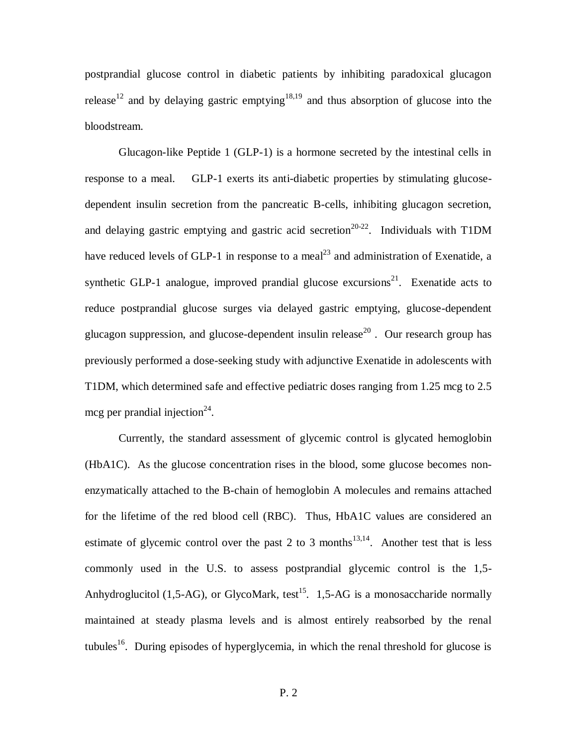postprandial glucose control in diabetic patients by inhibiting paradoxical glucagon release<sup>12</sup> and by delaying gastric emptying<sup>18,19</sup> and thus absorption of glucose into the bloodstream.

Glucagon-like Peptide 1 (GLP-1) is a hormone secreted by the intestinal cells in response to a meal. GLP-1 exerts its anti-diabetic properties by stimulating glucosedependent insulin secretion from the pancreatic B-cells, inhibiting glucagon secretion, and delaying gastric emptying and gastric acid secretion<sup>20-22</sup>. Individuals with T1DM have reduced levels of GLP-1 in response to a meal<sup>23</sup> and administration of Exenatide, a synthetic GLP-1 analogue, improved prandial glucose excursions<sup>21</sup>. Exenatide acts to reduce postprandial glucose surges via delayed gastric emptying, glucose-dependent glucagon suppression, and glucose-dependent insulin release<sup>20</sup>. Our research group has previously performed a dose-seeking study with adjunctive Exenatide in adolescents with T1DM, which determined safe and effective pediatric doses ranging from 1.25 mcg to 2.5 mcg per prandial injection<sup>24</sup>.

Currently, the standard assessment of glycemic control is glycated hemoglobin (HbA1C). As the glucose concentration rises in the blood, some glucose becomes nonenzymatically attached to the B-chain of hemoglobin A molecules and remains attached for the lifetime of the red blood cell (RBC). Thus, HbA1C values are considered an estimate of glycemic control over the past 2 to 3 months<sup>13,14</sup>. Another test that is less commonly used in the U.S. to assess postprandial glycemic control is the 1,5- Anhydroglucitol (1,5-AG), or GlycoMark, test<sup>15</sup>. 1,5-AG is a monosaccharide normally maintained at steady plasma levels and is almost entirely reabsorbed by the renal tubules<sup>16</sup>. During episodes of hyperglycemia, in which the renal threshold for glucose is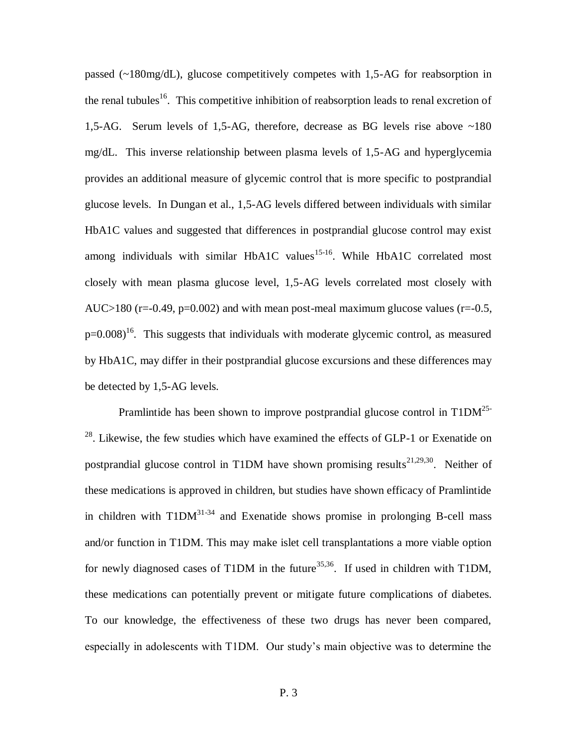passed (~180mg/dL), glucose competitively competes with 1,5-AG for reabsorption in the renal tubules<sup>16</sup>. This competitive inhibition of reabsorption leads to renal excretion of 1,5-AG. Serum levels of 1,5-AG, therefore, decrease as BG levels rise above ~180 mg/dL. This inverse relationship between plasma levels of 1,5-AG and hyperglycemia provides an additional measure of glycemic control that is more specific to postprandial glucose levels. In Dungan et al., 1,5-AG levels differed between individuals with similar HbA1C values and suggested that differences in postprandial glucose control may exist among individuals with similar HbA1C values<sup>15-16</sup>. While HbA1C correlated most closely with mean plasma glucose level, 1,5-AG levels correlated most closely with AUC $>180$  (r=-0.49, p=0.002) and with mean post-meal maximum glucose values (r=-0.5,  $p=0.008$ <sup>16</sup>. This suggests that individuals with moderate glycemic control, as measured by HbA1C, may differ in their postprandial glucose excursions and these differences may be detected by 1,5-AG levels.

Pramlintide has been shown to improve postprandial glucose control in  $T1DM^{25-}$ <sup>28</sup>. Likewise, the few studies which have examined the effects of GLP-1 or Exenatide on postprandial glucose control in T1DM have shown promising results<sup>21,29,30</sup>. Neither of these medications is approved in children, but studies have shown efficacy of Pramlintide in children with  $T1DM^{31-34}$  and Exenatide shows promise in prolonging B-cell mass and/or function in T1DM. This may make islet cell transplantations a more viable option for newly diagnosed cases of T1DM in the future<sup>35,36</sup>. If used in children with T1DM, these medications can potentially prevent or mitigate future complications of diabetes. To our knowledge, the effectiveness of these two drugs has never been compared, especially in adolescents with T1DM. Our study's main objective was to determine the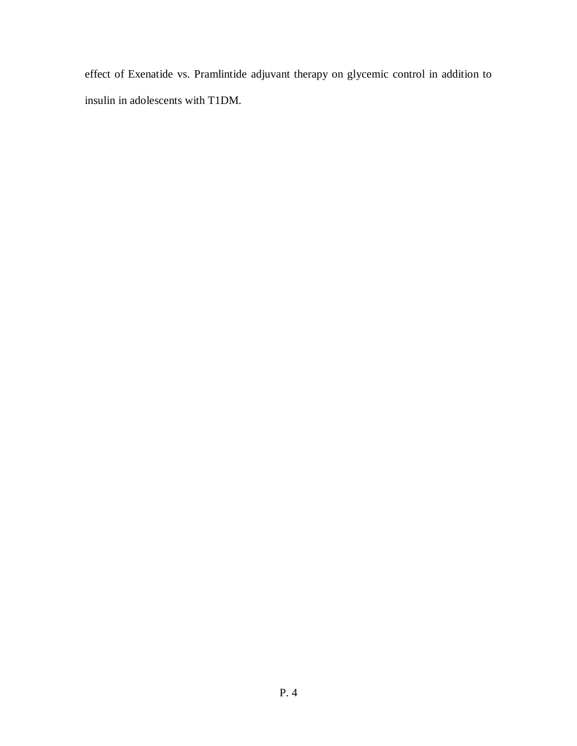effect of Exenatide vs. Pramlintide adjuvant therapy on glycemic control in addition to insulin in adolescents with T1DM.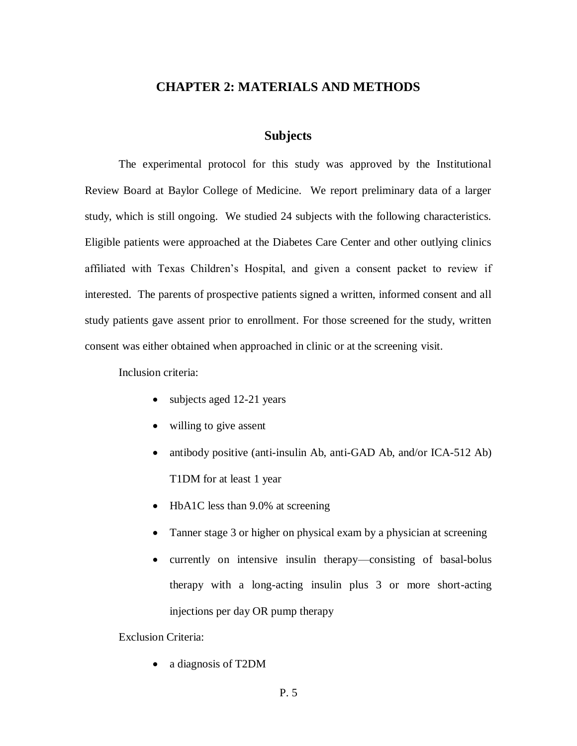#### **CHAPTER 2: MATERIALS AND METHODS**

#### **Subjects**

The experimental protocol for this study was approved by the Institutional Review Board at Baylor College of Medicine. We report preliminary data of a larger study, which is still ongoing. We studied 24 subjects with the following characteristics. Eligible patients were approached at the Diabetes Care Center and other outlying clinics affiliated with Texas Children's Hospital, and given a consent packet to review if interested. The parents of prospective patients signed a written, informed consent and all study patients gave assent prior to enrollment. For those screened for the study, written consent was either obtained when approached in clinic or at the screening visit.

Inclusion criteria:

- subjects aged 12-21 years
- willing to give assent
- antibody positive (anti-insulin Ab, anti-GAD Ab, and/or ICA-512 Ab) T1DM for at least 1 year
- HbA1C less than 9.0% at screening
- Tanner stage 3 or higher on physical exam by a physician at screening
- currently on intensive insulin therapy—consisting of basal-bolus therapy with a long-acting insulin plus 3 or more short-acting injections per day OR pump therapy

Exclusion Criteria:

a diagnosis of T2DM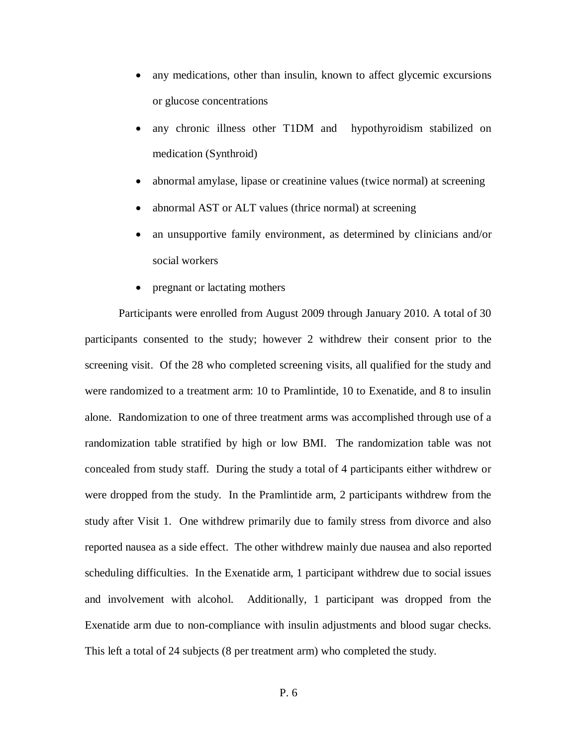- any medications, other than insulin, known to affect glycemic excursions or glucose concentrations
- any chronic illness other T1DM and hypothyroidism stabilized on medication (Synthroid)
- abnormal amylase, lipase or creatinine values (twice normal) at screening
- abnormal AST or ALT values (thrice normal) at screening
- an unsupportive family environment, as determined by clinicians and/or social workers
- pregnant or lactating mothers

Participants were enrolled from August 2009 through January 2010. A total of 30 participants consented to the study; however 2 withdrew their consent prior to the screening visit. Of the 28 who completed screening visits, all qualified for the study and were randomized to a treatment arm: 10 to Pramlintide, 10 to Exenatide, and 8 to insulin alone. Randomization to one of three treatment arms was accomplished through use of a randomization table stratified by high or low BMI. The randomization table was not concealed from study staff. During the study a total of 4 participants either withdrew or were dropped from the study. In the Pramlintide arm, 2 participants withdrew from the study after Visit 1. One withdrew primarily due to family stress from divorce and also reported nausea as a side effect. The other withdrew mainly due nausea and also reported scheduling difficulties. In the Exenatide arm, 1 participant withdrew due to social issues and involvement with alcohol. Additionally, 1 participant was dropped from the Exenatide arm due to non-compliance with insulin adjustments and blood sugar checks. This left a total of 24 subjects (8 per treatment arm) who completed the study.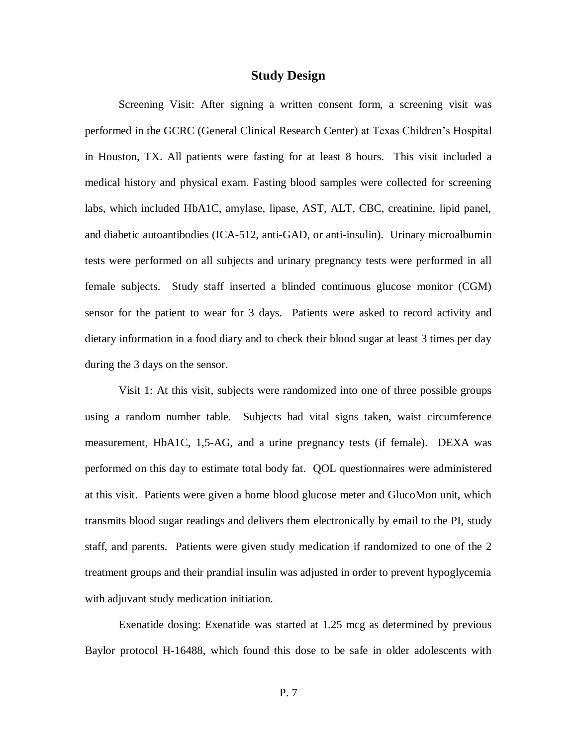#### **Study Design**

Screening Visit: After signing a written consent form, a screening visit was performed in the GCRC (General Clinical Research Center) at Texas Children's Hospital in Houston, TX. All patients were fasting for at least 8 hours. This visit included a medical history and physical exam. Fasting blood samples were collected for screening labs, which included HbA1C, amylase, lipase, AST, ALT, CBC, creatinine, lipid panel, and diabetic autoantibodies (ICA-512, anti-GAD, or anti-insulin). Urinary microalbumin tests were performed on all subjects and urinary pregnancy tests were performed in all female subjects. Study staff inserted a blinded continuous glucose monitor (CGM) sensor for the patient to wear for 3 days. Patients were asked to record activity and dietary information in a food diary and to check their blood sugar at least 3 times per day during the 3 days on the sensor.

Visit 1: At this visit, subjects were randomized into one of three possible groups using a random number table. Subjects had vital signs taken, waist circumference measurement, HbA1C, 1,5-AG, and a urine pregnancy tests (if female). DEXA was performed on this day to estimate total body fat. QOL questionnaires were administered at this visit. Patients were given a home blood glucose meter and GlucoMon unit, which transmits blood sugar readings and delivers them electronically by email to the PI, study staff, and parents. Patients were given study medication if randomized to one of the 2 treatment groups and their prandial insulin was adjusted in order to prevent hypoglycemia with adjuvant study medication initiation.

Exenatide dosing: Exenatide was started at 1.25 mcg as determined by previous Baylor protocol H-16488, which found this dose to be safe in older adolescents with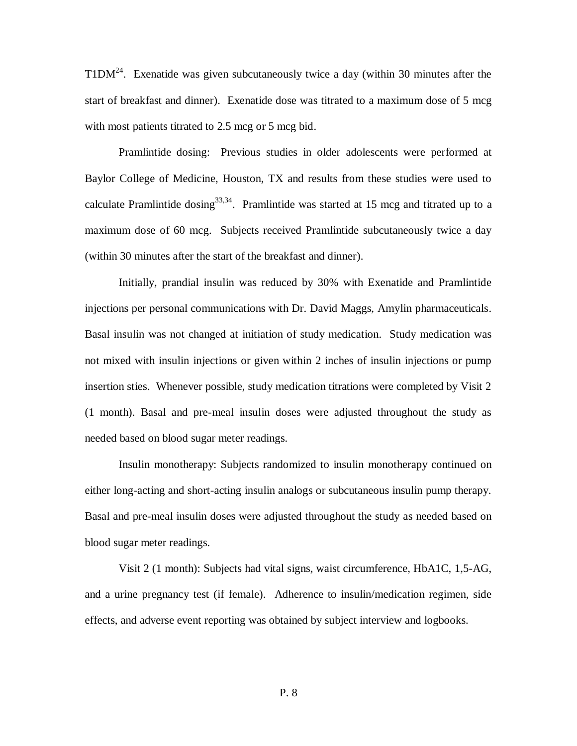T1D $M^{24}$ . Exenatide was given subcutaneously twice a day (within 30 minutes after the start of breakfast and dinner). Exenatide dose was titrated to a maximum dose of 5 mcg with most patients titrated to 2.5 mcg or 5 mcg bid.

Pramlintide dosing: Previous studies in older adolescents were performed at Baylor College of Medicine, Houston, TX and results from these studies were used to calculate Pramlintide dosing<sup>33,34</sup>. Pramlintide was started at 15 mcg and titrated up to a maximum dose of 60 mcg. Subjects received Pramlintide subcutaneously twice a day (within 30 minutes after the start of the breakfast and dinner).

Initially, prandial insulin was reduced by 30% with Exenatide and Pramlintide injections per personal communications with Dr. David Maggs, Amylin pharmaceuticals. Basal insulin was not changed at initiation of study medication. Study medication was not mixed with insulin injections or given within 2 inches of insulin injections or pump insertion sties. Whenever possible, study medication titrations were completed by Visit 2 (1 month). Basal and pre-meal insulin doses were adjusted throughout the study as needed based on blood sugar meter readings.

Insulin monotherapy: Subjects randomized to insulin monotherapy continued on either long-acting and short-acting insulin analogs or subcutaneous insulin pump therapy. Basal and pre-meal insulin doses were adjusted throughout the study as needed based on blood sugar meter readings.

Visit 2 (1 month): Subjects had vital signs, waist circumference, HbA1C, 1,5-AG, and a urine pregnancy test (if female). Adherence to insulin/medication regimen, side effects, and adverse event reporting was obtained by subject interview and logbooks.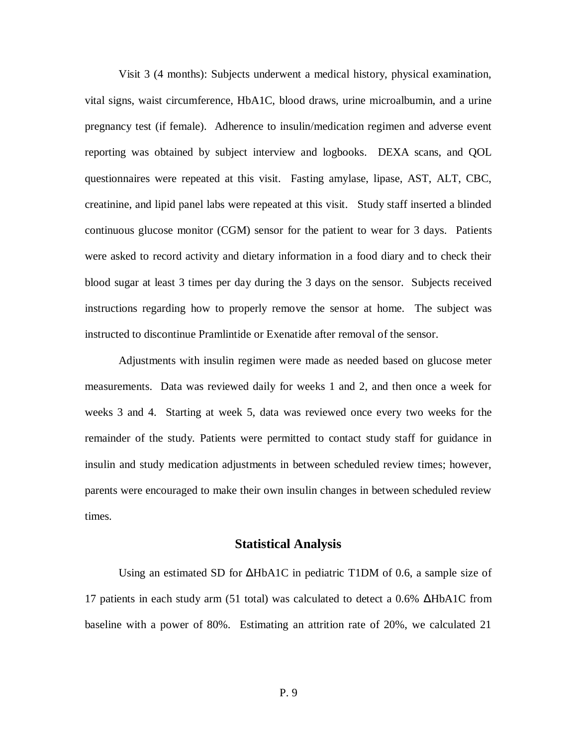Visit 3 (4 months): Subjects underwent a medical history, physical examination, vital signs, waist circumference, HbA1C, blood draws, urine microalbumin, and a urine pregnancy test (if female). Adherence to insulin/medication regimen and adverse event reporting was obtained by subject interview and logbooks. DEXA scans, and QOL questionnaires were repeated at this visit. Fasting amylase, lipase, AST, ALT, CBC, creatinine, and lipid panel labs were repeated at this visit. Study staff inserted a blinded continuous glucose monitor (CGM) sensor for the patient to wear for 3 days. Patients were asked to record activity and dietary information in a food diary and to check their blood sugar at least 3 times per day during the 3 days on the sensor. Subjects received instructions regarding how to properly remove the sensor at home. The subject was instructed to discontinue Pramlintide or Exenatide after removal of the sensor.

Adjustments with insulin regimen were made as needed based on glucose meter measurements. Data was reviewed daily for weeks 1 and 2, and then once a week for weeks 3 and 4. Starting at week 5, data was reviewed once every two weeks for the remainder of the study. Patients were permitted to contact study staff for guidance in insulin and study medication adjustments in between scheduled review times; however, parents were encouraged to make their own insulin changes in between scheduled review times.

#### **Statistical Analysis**

Using an estimated SD for ΔHbA1C in pediatric T1DM of 0.6, a sample size of 17 patients in each study arm (51 total) was calculated to detect a 0.6% ΔHbA1C from baseline with a power of 80%. Estimating an attrition rate of 20%, we calculated 21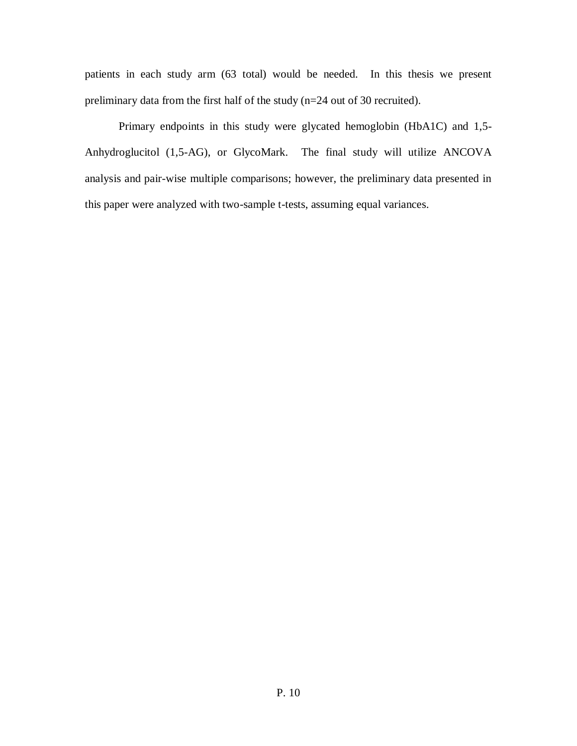patients in each study arm (63 total) would be needed. In this thesis we present preliminary data from the first half of the study (n=24 out of 30 recruited).

Primary endpoints in this study were glycated hemoglobin (HbA1C) and 1,5- Anhydroglucitol (1,5-AG), or GlycoMark. The final study will utilize ANCOVA analysis and pair-wise multiple comparisons; however, the preliminary data presented in this paper were analyzed with two-sample t-tests, assuming equal variances.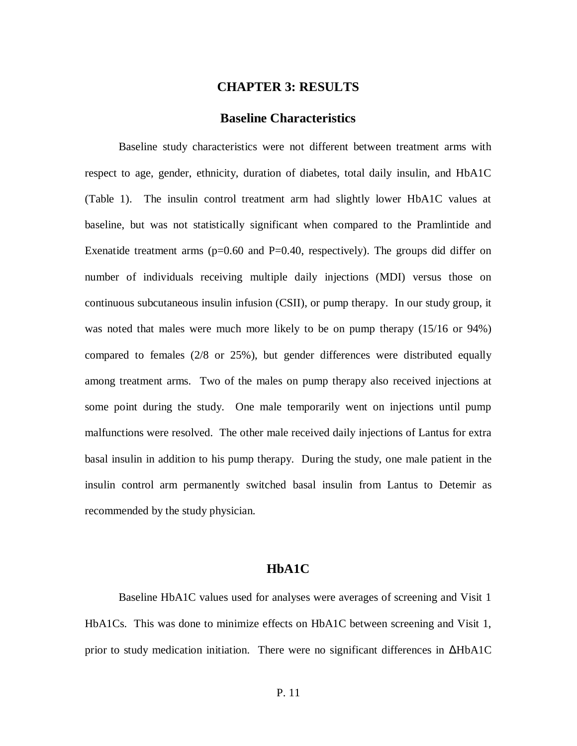#### **CHAPTER 3: RESULTS**

#### **Baseline Characteristics**

Baseline study characteristics were not different between treatment arms with respect to age, gender, ethnicity, duration of diabetes, total daily insulin, and HbA1C (Table 1). The insulin control treatment arm had slightly lower HbA1C values at baseline, but was not statistically significant when compared to the Pramlintide and Exenatide treatment arms ( $p=0.60$  and  $P=0.40$ , respectively). The groups did differ on number of individuals receiving multiple daily injections (MDI) versus those on continuous subcutaneous insulin infusion (CSII), or pump therapy. In our study group, it was noted that males were much more likely to be on pump therapy (15/16 or 94%) compared to females (2/8 or 25%), but gender differences were distributed equally among treatment arms. Two of the males on pump therapy also received injections at some point during the study. One male temporarily went on injections until pump malfunctions were resolved. The other male received daily injections of Lantus for extra basal insulin in addition to his pump therapy. During the study, one male patient in the insulin control arm permanently switched basal insulin from Lantus to Detemir as recommended by the study physician.

#### **HbA1C**

Baseline HbA1C values used for analyses were averages of screening and Visit 1 HbA1Cs. This was done to minimize effects on HbA1C between screening and Visit 1, prior to study medication initiation. There were no significant differences in ΔHbA1C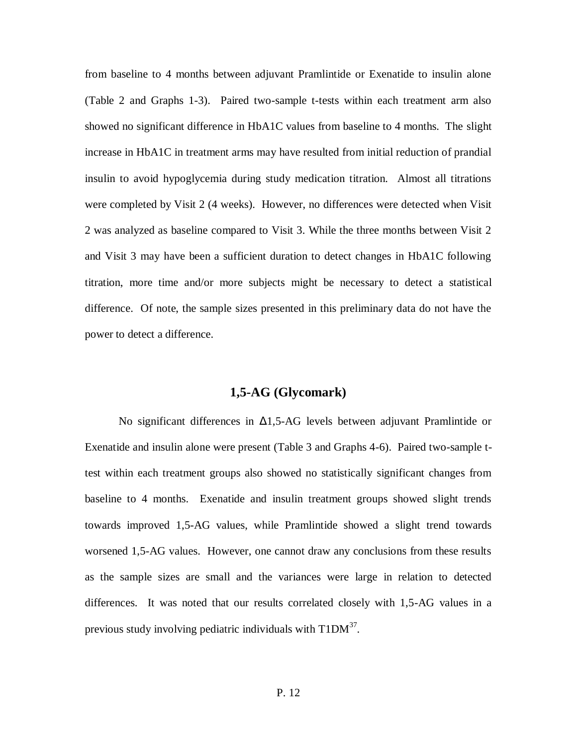from baseline to 4 months between adjuvant Pramlintide or Exenatide to insulin alone (Table 2 and Graphs 1-3). Paired two-sample t-tests within each treatment arm also showed no significant difference in HbA1C values from baseline to 4 months. The slight increase in HbA1C in treatment arms may have resulted from initial reduction of prandial insulin to avoid hypoglycemia during study medication titration. Almost all titrations were completed by Visit 2 (4 weeks). However, no differences were detected when Visit 2 was analyzed as baseline compared to Visit 3. While the three months between Visit 2 and Visit 3 may have been a sufficient duration to detect changes in HbA1C following titration, more time and/or more subjects might be necessary to detect a statistical difference. Of note, the sample sizes presented in this preliminary data do not have the power to detect a difference.

#### **1,5-AG (Glycomark)**

No significant differences in  $Δ1,5-AG$  levels between adjuvant Pramlintide or Exenatide and insulin alone were present (Table 3 and Graphs 4-6). Paired two-sample ttest within each treatment groups also showed no statistically significant changes from baseline to 4 months. Exenatide and insulin treatment groups showed slight trends towards improved 1,5-AG values, while Pramlintide showed a slight trend towards worsened 1,5-AG values. However, one cannot draw any conclusions from these results as the sample sizes are small and the variances were large in relation to detected differences. It was noted that our results correlated closely with 1,5-AG values in a previous study involving pediatric individuals with  $T1DM^{37}$ .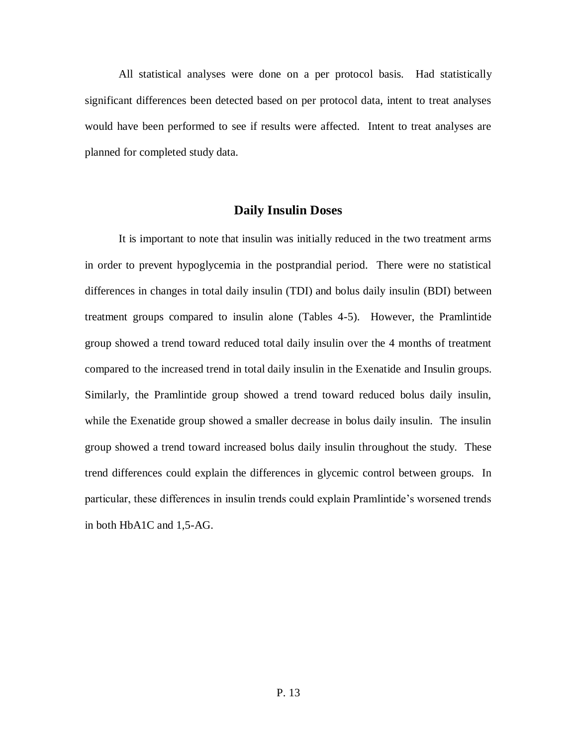All statistical analyses were done on a per protocol basis. Had statistically significant differences been detected based on per protocol data, intent to treat analyses would have been performed to see if results were affected. Intent to treat analyses are planned for completed study data.

#### **Daily Insulin Doses**

It is important to note that insulin was initially reduced in the two treatment arms in order to prevent hypoglycemia in the postprandial period. There were no statistical differences in changes in total daily insulin (TDI) and bolus daily insulin (BDI) between treatment groups compared to insulin alone (Tables 4-5). However, the Pramlintide group showed a trend toward reduced total daily insulin over the 4 months of treatment compared to the increased trend in total daily insulin in the Exenatide and Insulin groups. Similarly, the Pramlintide group showed a trend toward reduced bolus daily insulin, while the Exenatide group showed a smaller decrease in bolus daily insulin. The insulin group showed a trend toward increased bolus daily insulin throughout the study. These trend differences could explain the differences in glycemic control between groups. In particular, these differences in insulin trends could explain Pramlintide's worsened trends in both HbA1C and 1,5-AG.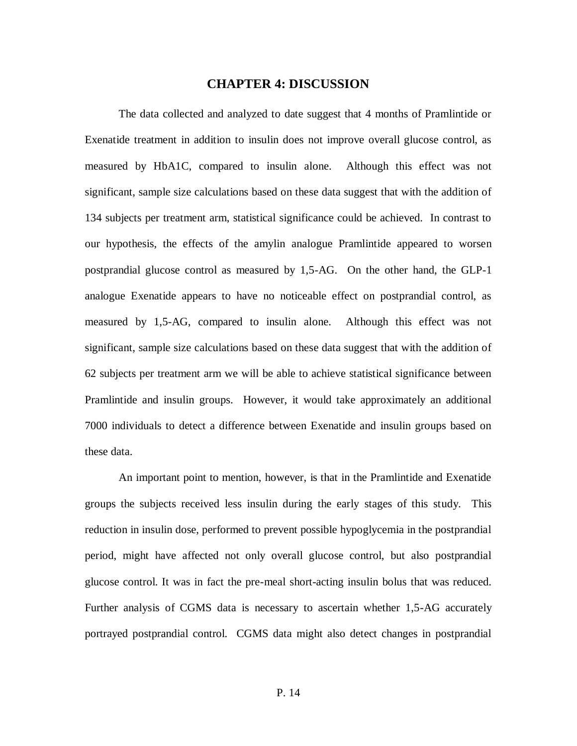#### **CHAPTER 4: DISCUSSION**

The data collected and analyzed to date suggest that 4 months of Pramlintide or Exenatide treatment in addition to insulin does not improve overall glucose control, as measured by HbA1C, compared to insulin alone. Although this effect was not significant, sample size calculations based on these data suggest that with the addition of 134 subjects per treatment arm, statistical significance could be achieved. In contrast to our hypothesis, the effects of the amylin analogue Pramlintide appeared to worsen postprandial glucose control as measured by 1,5-AG. On the other hand, the GLP-1 analogue Exenatide appears to have no noticeable effect on postprandial control, as measured by 1,5-AG, compared to insulin alone. Although this effect was not significant, sample size calculations based on these data suggest that with the addition of 62 subjects per treatment arm we will be able to achieve statistical significance between Pramlintide and insulin groups. However, it would take approximately an additional 7000 individuals to detect a difference between Exenatide and insulin groups based on these data.

An important point to mention, however, is that in the Pramlintide and Exenatide groups the subjects received less insulin during the early stages of this study. This reduction in insulin dose, performed to prevent possible hypoglycemia in the postprandial period, might have affected not only overall glucose control, but also postprandial glucose control. It was in fact the pre-meal short-acting insulin bolus that was reduced. Further analysis of CGMS data is necessary to ascertain whether 1,5-AG accurately portrayed postprandial control. CGMS data might also detect changes in postprandial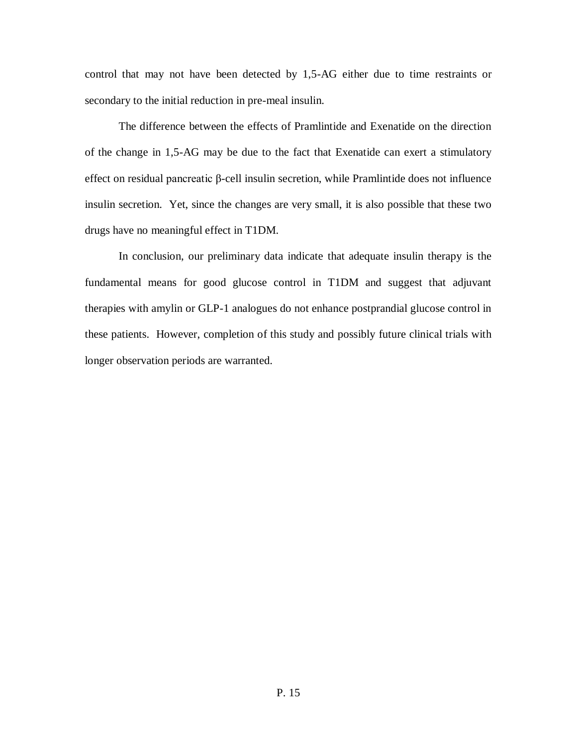control that may not have been detected by 1,5-AG either due to time restraints or secondary to the initial reduction in pre-meal insulin.

The difference between the effects of Pramlintide and Exenatide on the direction of the change in 1,5-AG may be due to the fact that Exenatide can exert a stimulatory effect on residual pancreatic β-cell insulin secretion, while Pramlintide does not influence insulin secretion. Yet, since the changes are very small, it is also possible that these two drugs have no meaningful effect in T1DM.

In conclusion, our preliminary data indicate that adequate insulin therapy is the fundamental means for good glucose control in T1DM and suggest that adjuvant therapies with amylin or GLP-1 analogues do not enhance postprandial glucose control in these patients. However, completion of this study and possibly future clinical trials with longer observation periods are warranted.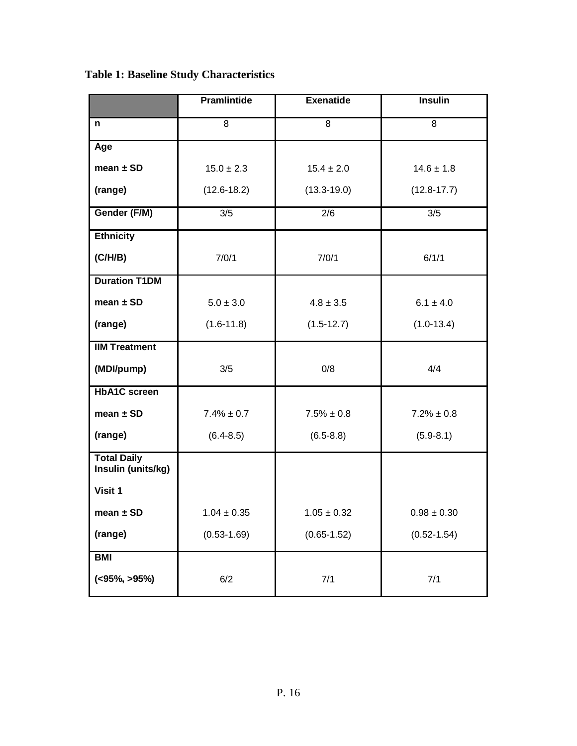**Table 1: Baseline Study Characteristics**

|                                          | <b>Pramlintide</b> | <b>Exenatide</b> | <b>Insulin</b>  |
|------------------------------------------|--------------------|------------------|-----------------|
| n                                        | $\overline{8}$     | $\overline{8}$   | 8               |
| Age                                      |                    |                  |                 |
| mean $\pm$ SD                            | $15.0 \pm 2.3$     | $15.4 \pm 2.0$   | $14.6 \pm 1.8$  |
| (range)                                  | $(12.6 - 18.2)$    | $(13.3 - 19.0)$  | $(12.8 - 17.7)$ |
| Gender (F/M)                             | 3/5                | 2/6              | 3/5             |
| <b>Ethnicity</b>                         |                    |                  |                 |
| (C/H/B)                                  | 7/0/1              | 7/0/1            | 6/1/1           |
| <b>Duration T1DM</b>                     |                    |                  |                 |
| mean $\pm$ SD                            | $5.0 \pm 3.0$      | $4.8 \pm 3.5$    | $6.1 \pm 4.0$   |
| (range)                                  | $(1.6 - 11.8)$     | $(1.5-12.7)$     | $(1.0-13.4)$    |
| <b>IIM Treatment</b>                     |                    |                  |                 |
| (MDI/pump)                               | 3/5                | 0/8              | 4/4             |
| <b>HbA1C</b> screen                      |                    |                  |                 |
| mean $\pm$ SD                            | $7.4\% \pm 0.7$    | $7.5\% \pm 0.8$  | $7.2\% \pm 0.8$ |
| (range)                                  | $(6.4 - 8.5)$      | $(6.5 - 8.8)$    | $(5.9 - 8.1)$   |
| <b>Total Daily</b><br>Insulin (units/kg) |                    |                  |                 |
| Visit 1                                  |                    |                  |                 |
| mean $\pm$ SD                            | $1.04 \pm 0.35$    | $1.05 \pm 0.32$  | $0.98 \pm 0.30$ |
| (range)                                  | $(0.53 - 1.69)$    | $(0.65 - 1.52)$  | $(0.52 - 1.54)$ |
| <b>BMI</b>                               |                    |                  |                 |
| ( <b>95%</b> , <b>95%</b> )              | 6/2                | 7/1              | 7/1             |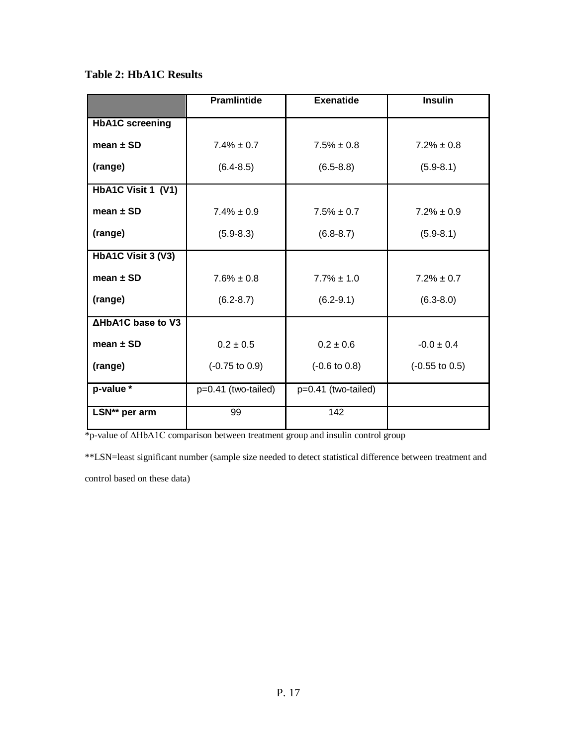**Table 2: HbA1C Results**

|                          | <b>Pramlintide</b>        | <b>Exenatide</b>         | <b>Insulin</b>            |
|--------------------------|---------------------------|--------------------------|---------------------------|
| <b>HbA1C</b> screening   |                           |                          |                           |
| mean $\pm$ SD            | $7.4\% \pm 0.7$           | $7.5\% \pm 0.8$          | $7.2\% \pm 0.8$           |
| (range)                  | $(6.4 - 8.5)$             | $(6.5 - 8.8)$            | $(5.9 - 8.1)$             |
| HbA1C Visit 1 (V1)       |                           |                          |                           |
| mean $\pm$ SD            | $7.4\% \pm 0.9$           | $7.5\% \pm 0.7$          | $7.2\% \pm 0.9$           |
| (range)                  | $(5.9 - 8.3)$             | $(6.8 - 8.7)$            | $(5.9 - 8.1)$             |
| HbA1C Visit 3 (V3)       |                           |                          |                           |
| mean $\pm$ SD            | $7.6\% \pm 0.8$           | $7.7\% \pm 1.0$          | $7.2\% \pm 0.7$           |
| (range)                  | $(6.2 - 8.7)$             | $(6.2 - 9.1)$            | $(6.3 - 8.0)$             |
| <b>AHbA1C base to V3</b> |                           |                          |                           |
| mean $\pm$ SD            | $0.2 \pm 0.5$             | $0.2 \pm 0.6$            | $-0.0 \pm 0.4$            |
| (range)                  | $(-0.75 \text{ to } 0.9)$ | $(-0.6 \text{ to } 0.8)$ | $(-0.55 \text{ to } 0.5)$ |
| p-value *                | p=0.41 (two-tailed)       | p=0.41 (two-tailed)      |                           |
| LSN** per arm            | 99                        | 142                      |                           |

\*p-value of ΔHbA1C comparison between treatment group and insulin control group

\*\*LSN=least significant number (sample size needed to detect statistical difference between treatment and

control based on these data)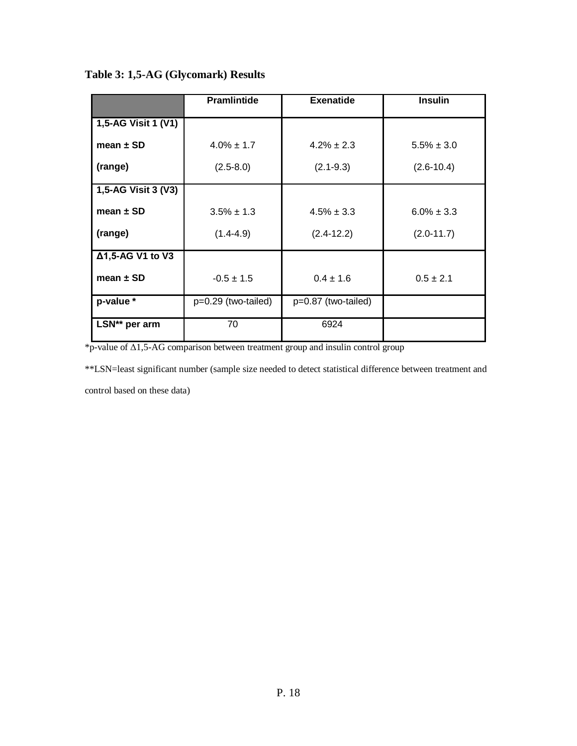**Table 3: 1,5-AG (Glycomark) Results**

|                      | <b>Pramlintide</b>    | <b>Exenatide</b>    | <b>Insulin</b>  |
|----------------------|-----------------------|---------------------|-----------------|
| 1,5-AG Visit 1 (V1)  |                       |                     |                 |
| mean $\pm$ SD        | $4.0\% \pm 1.7$       | $4.2\% \pm 2.3$     | $5.5\% \pm 3.0$ |
| (range)              | $(2.5 - 8.0)$         | $(2.1 - 9.3)$       | $(2.6 - 10.4)$  |
| 1,5-AG Visit 3 (V3)  |                       |                     |                 |
| mean $\pm$ SD        | $3.5\% \pm 1.3$       | $4.5\% \pm 3.3$     | $6.0\% \pm 3.3$ |
| (range)              | $(1.4-4.9)$           | $(2.4-12.2)$        | $(2.0 - 11.7)$  |
| Δ1,5-AG V1 to V3     |                       |                     |                 |
| mean $\pm$ SD        | $-0.5 \pm 1.5$        | $0.4 \pm 1.6$       | $0.5 \pm 2.1$   |
| p-value *            | $p=0.29$ (two-tailed) | p=0.87 (two-tailed) |                 |
| <b>LSN**</b> per arm | 70                    | 6924                |                 |

\*p-value of Δ1,5-AG comparison between treatment group and insulin control group

\*\*LSN=least significant number (sample size needed to detect statistical difference between treatment and

control based on these data)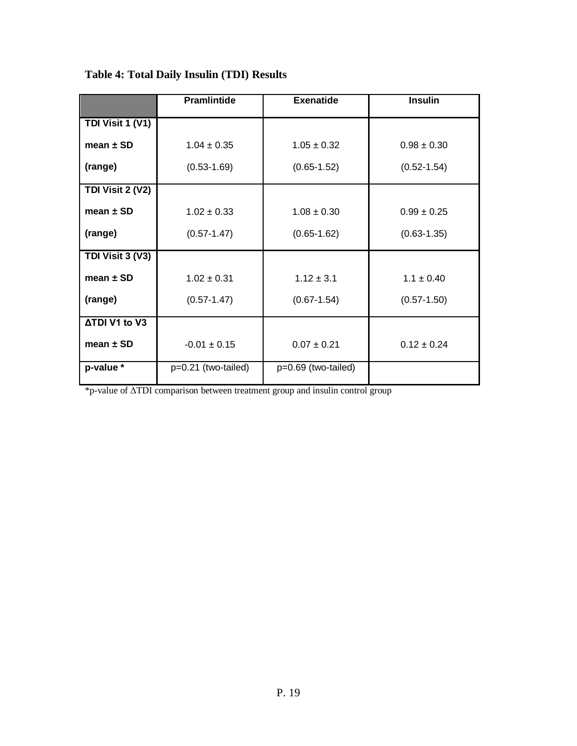|                      | <b>Pramlintide</b>  | <b>Exenatide</b>    | <b>Insulin</b>  |
|----------------------|---------------------|---------------------|-----------------|
| TDI Visit 1 (V1)     |                     |                     |                 |
| mean $\pm$ SD        | $1.04 \pm 0.35$     | $1.05 \pm 0.32$     | $0.98 \pm 0.30$ |
| (range)              | $(0.53 - 1.69)$     | $(0.65 - 1.52)$     | $(0.52 - 1.54)$ |
| TDI Visit 2 (V2)     |                     |                     |                 |
| mean $\pm$ SD        | $1.02 \pm 0.33$     | $1.08 \pm 0.30$     | $0.99 \pm 0.25$ |
| (range)              | $(0.57 - 1.47)$     | $(0.65 - 1.62)$     | $(0.63 - 1.35)$ |
| TDI Visit 3 (V3)     |                     |                     |                 |
| mean $\pm$ SD        | $1.02 + 0.31$       | $1.12 \pm 3.1$      | $1.1 \pm 0.40$  |
| (range)              | $(0.57 - 1.47)$     | $(0.67 - 1.54)$     | $(0.57 - 1.50)$ |
| <b>ATDI V1 to V3</b> |                     |                     |                 |
| mean $\pm$ SD        | $-0.01 \pm 0.15$    | $0.07 \pm 0.21$     | $0.12 \pm 0.24$ |
| p-value *            | p=0.21 (two-tailed) | p=0.69 (two-tailed) |                 |

**Table 4: Total Daily Insulin (TDI) Results**

\*p-value of ΔTDI comparison between treatment group and insulin control group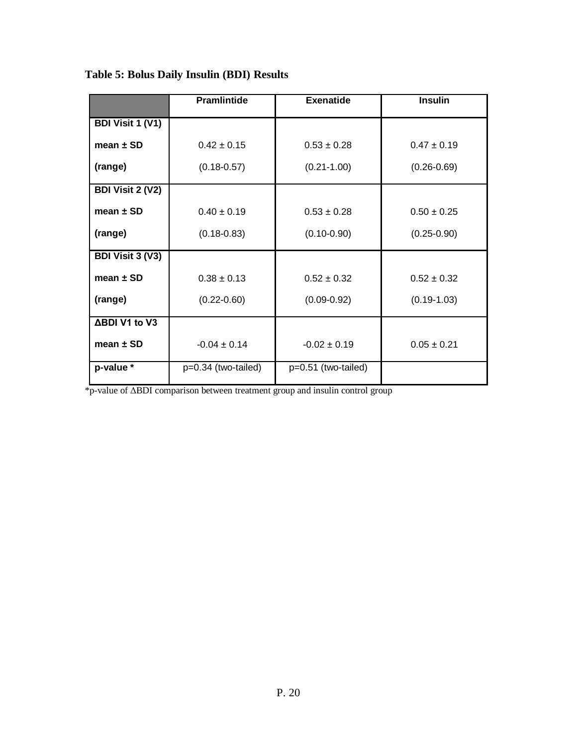|                         | <b>Pramlintide</b>  | <b>Exenatide</b>    | <b>Insulin</b>  |
|-------------------------|---------------------|---------------------|-----------------|
| <b>BDI Visit 1 (V1)</b> |                     |                     |                 |
| mean $\pm$ SD           | $0.42 \pm 0.15$     | $0.53 \pm 0.28$     | $0.47 \pm 0.19$ |
| (range)                 | $(0.18 - 0.57)$     | $(0.21 - 1.00)$     | $(0.26 - 0.69)$ |
| <b>BDI Visit 2 (V2)</b> |                     |                     |                 |
| mean $\pm$ SD           | $0.40 \pm 0.19$     | $0.53 \pm 0.28$     | $0.50 \pm 0.25$ |
| (range)                 | $(0.18 - 0.83)$     | $(0.10 - 0.90)$     | $(0.25 - 0.90)$ |
| <b>BDI Visit 3 (V3)</b> |                     |                     |                 |
| mean $\pm$ SD           | $0.38 \pm 0.13$     | $0.52 \pm 0.32$     | $0.52 \pm 0.32$ |
| (range)                 | $(0.22 - 0.60)$     | $(0.09 - 0.92)$     | $(0.19 - 1.03)$ |
| ΔBDI V1 to V3           |                     |                     |                 |
| mean $\pm$ SD           | $-0.04 \pm 0.14$    | $-0.02 \pm 0.19$    | $0.05 \pm 0.21$ |
| p-value *               | p=0.34 (two-tailed) | p=0.51 (two-tailed) |                 |

**Table 5: Bolus Daily Insulin (BDI) Results**

\*p-value of ΔBDI comparison between treatment group and insulin control group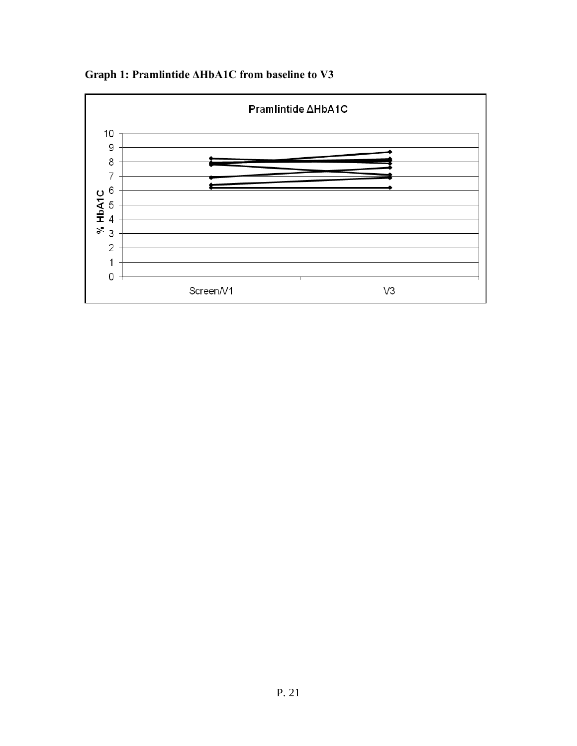

**Graph 1: Pramlintide ΔHbA1C from baseline to V3**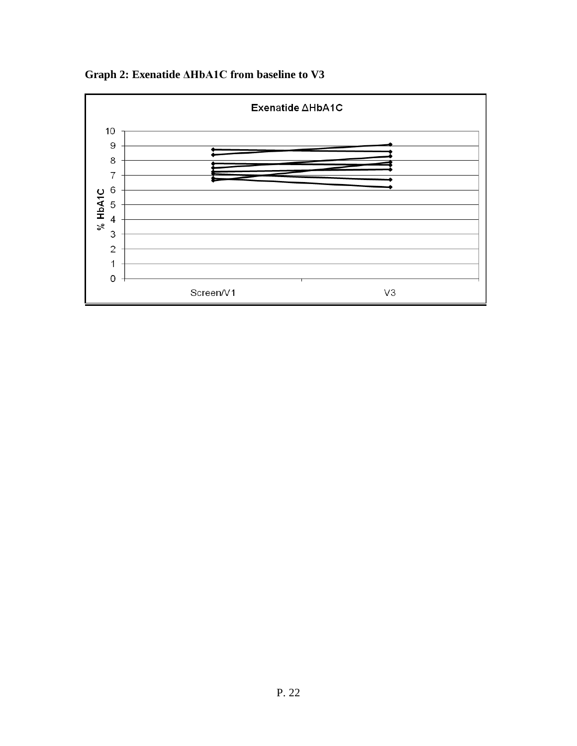**Graph 2: Exenatide ΔHbA1C from baseline to V3** 

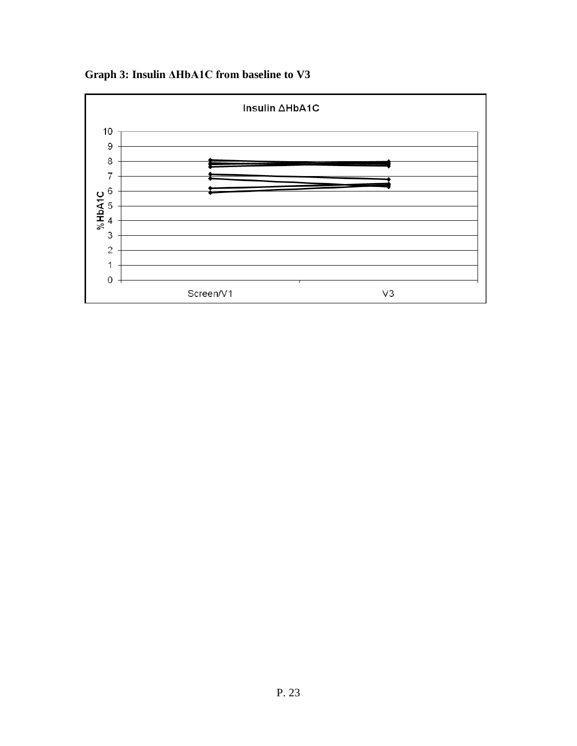**Graph 3: Insulin ΔHbA1C from baseline to V3** 

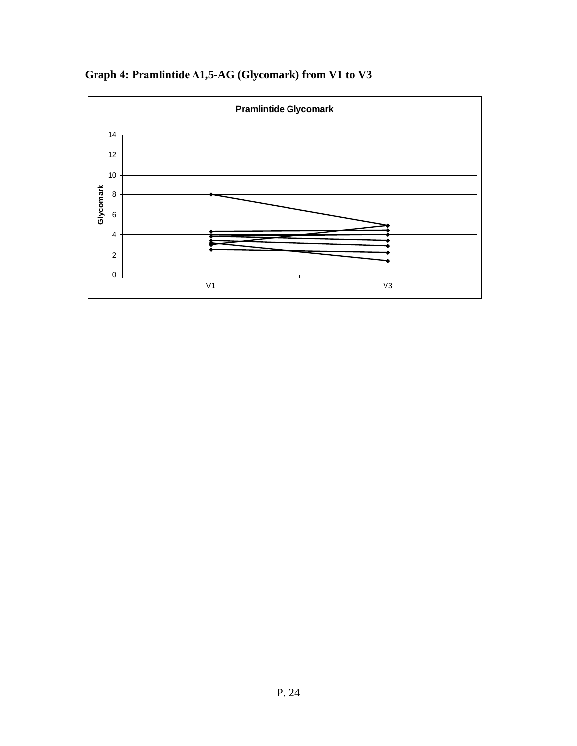

**Graph 4: Pramlintide Δ1,5-AG (Glycomark) from V1 to V3**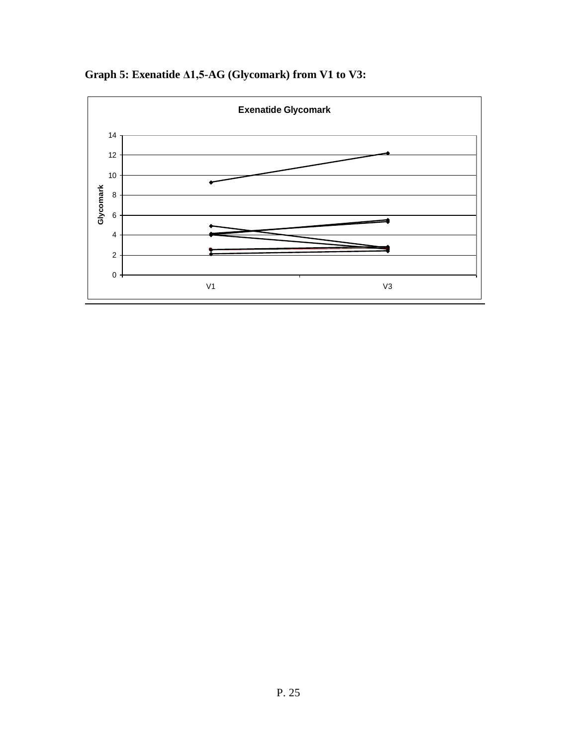

**Graph 5: Exenatide Δ1,5-AG (Glycomark) from V1 to V3:**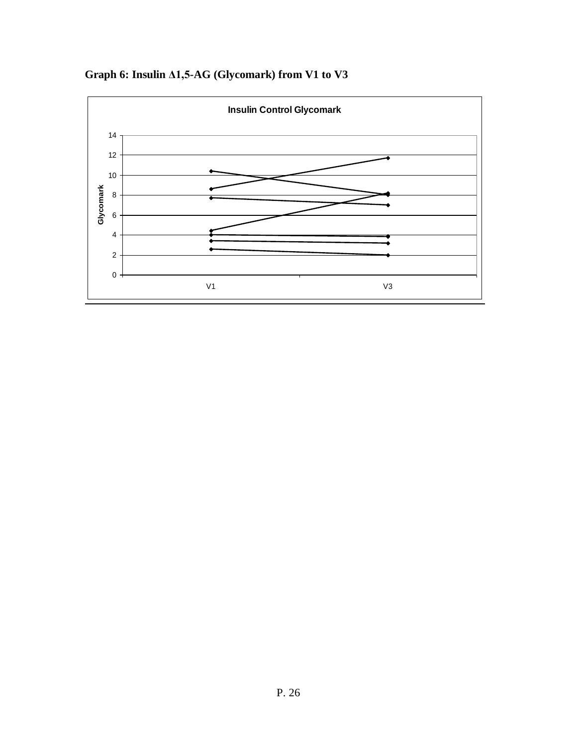

**Graph 6: Insulin Δ1,5-AG (Glycomark) from V1 to V3**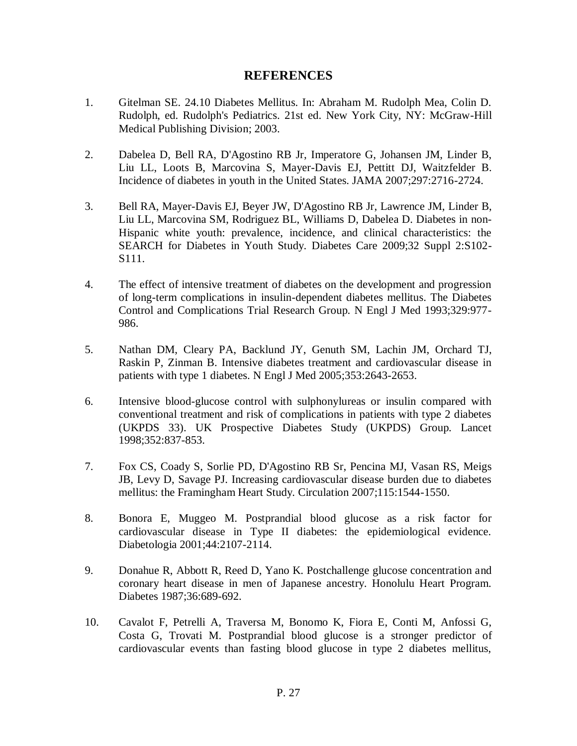#### **REFERENCES**

- 1. Gitelman SE. 24.10 Diabetes Mellitus. In: Abraham M. Rudolph Mea, Colin D. Rudolph, ed. Rudolph's Pediatrics. 21st ed. New York City, NY: McGraw-Hill Medical Publishing Division; 2003.
- 2. [Dabelea D,](http://www.ncbi.nlm.nih.gov/pubmed?term=%22Dabelea%20D%22%5BAuthor%5D) [Bell RA,](http://www.ncbi.nlm.nih.gov/pubmed?term=%22Bell%20RA%22%5BAuthor%5D) [D'Agostino RB Jr,](http://www.ncbi.nlm.nih.gov/pubmed?term=%22D%27Agostino%20RB%20Jr%22%5BAuthor%5D) [Imperatore G,](http://www.ncbi.nlm.nih.gov/pubmed?term=%22Imperatore%20G%22%5BAuthor%5D) [Johansen JM,](http://www.ncbi.nlm.nih.gov/pubmed?term=%22Johansen%20JM%22%5BAuthor%5D) [Linder](http://www.ncbi.nlm.nih.gov/pubmed?term=%22Linder%20B%22%5BAuthor%5D) B, [Liu LL,](http://www.ncbi.nlm.nih.gov/pubmed?term=%22Liu%20LL%22%5BAuthor%5D) [Loots B,](http://www.ncbi.nlm.nih.gov/pubmed?term=%22Loots%20B%22%5BAuthor%5D) [Marcovina S,](http://www.ncbi.nlm.nih.gov/pubmed?term=%22Marcovina%20S%22%5BAuthor%5D) [Mayer-Davis EJ,](http://www.ncbi.nlm.nih.gov/pubmed?term=%22Mayer-Davis%20EJ%22%5BAuthor%5D) [Pettitt DJ,](http://www.ncbi.nlm.nih.gov/pubmed?term=%22Pettitt%20DJ%22%5BAuthor%5D) [Waitzfelder B.](http://www.ncbi.nlm.nih.gov/pubmed?term=%22Waitzfelder%20B%22%5BAuthor%5D) Incidence of diabetes in youth in the United States. JAMA 2007;297:2716-2724.
- 3. [Bell RA,](http://www.ncbi.nlm.nih.gov/pubmed?term=%22Bell%20RA%22%5BAuthor%5D) [Mayer-Davis EJ,](http://www.ncbi.nlm.nih.gov/pubmed?term=%22Mayer-Davis%20EJ%22%5BAuthor%5D) [Beyer JW,](http://www.ncbi.nlm.nih.gov/pubmed?term=%22Beyer%20JW%22%5BAuthor%5D) [D'Agostino RB Jr,](http://www.ncbi.nlm.nih.gov/pubmed?term=%22D%27Agostino%20RB%20Jr%22%5BAuthor%5D) [Lawrence JM,](http://www.ncbi.nlm.nih.gov/pubmed?term=%22Lawrence%20JM%22%5BAuthor%5D) [Linder B,](http://www.ncbi.nlm.nih.gov/pubmed?term=%22Linder%20B%22%5BAuthor%5D) [Liu LL,](http://www.ncbi.nlm.nih.gov/pubmed?term=%22Liu%20LL%22%5BAuthor%5D) [Marcovina SM,](http://www.ncbi.nlm.nih.gov/pubmed?term=%22Marcovina%20SM%22%5BAuthor%5D) [Rodriguez BL,](http://www.ncbi.nlm.nih.gov/pubmed?term=%22Rodriguez%20BL%22%5BAuthor%5D) [Williams D,](http://www.ncbi.nlm.nih.gov/pubmed?term=%22Williams%20D%22%5BAuthor%5D) [Dabelea D.](http://www.ncbi.nlm.nih.gov/pubmed?term=%22Dabelea%20D%22%5BAuthor%5D) Diabetes in non-Hispanic white youth: prevalence, incidence, and clinical characteristics: the SEARCH for Diabetes in Youth Study. Diabetes Care 2009;32 Suppl 2:S102- S111.
- 4. The effect of intensive treatment of diabetes on the development and progression of long-term complications in insulin-dependent diabetes mellitus. The Diabetes Control and Complications Trial Research Group. N Engl J Med 1993;329:977- 986.
- 5. [Nathan DM,](http://www.ncbi.nlm.nih.gov/pubmed?term=%22Nathan%20DM%22%5BAuthor%5D) [Cleary PA,](http://www.ncbi.nlm.nih.gov/pubmed?term=%22Cleary%20PA%22%5BAuthor%5D) [Backlund JY,](http://www.ncbi.nlm.nih.gov/pubmed?term=%22Backlund%20JY%22%5BAuthor%5D) [Genuth SM,](http://www.ncbi.nlm.nih.gov/pubmed?term=%22Genuth%20SM%22%5BAuthor%5D) [Lachin JM,](http://www.ncbi.nlm.nih.gov/pubmed?term=%22Lachin%20JM%22%5BAuthor%5D) [Orchard TJ,](http://www.ncbi.nlm.nih.gov/pubmed?term=%22Orchard%20TJ%22%5BAuthor%5D) [Raskin P,](http://www.ncbi.nlm.nih.gov/pubmed?term=%22Raskin%20P%22%5BAuthor%5D) [Zinman B.](http://www.ncbi.nlm.nih.gov/pubmed?term=%22Zinman%20B%22%5BAuthor%5D) Intensive diabetes treatment and cardiovascular disease in patients with type 1 diabetes. N Engl J Med 2005;353:2643-2653.
- 6. Intensive blood-glucose control with sulphonylureas or insulin compared with conventional treatment and risk of complications in patients with type 2 diabetes (UKPDS 33). UK Prospective Diabetes Study (UKPDS) Group. Lancet 1998;352:837-853.
- 7. [Fox CS,](http://www.ncbi.nlm.nih.gov/pubmed?term=%22Fox%20CS%22%5BAuthor%5D) [Coady S,](http://www.ncbi.nlm.nih.gov/pubmed?term=%22Coady%20S%22%5BAuthor%5D) [Sorlie PD,](http://www.ncbi.nlm.nih.gov/pubmed?term=%22Sorlie%20PD%22%5BAuthor%5D) [D'Agostino RB Sr,](http://www.ncbi.nlm.nih.gov/pubmed?term=%22D%27Agostino%20RB%20Sr%22%5BAuthor%5D) [Pencina MJ,](http://www.ncbi.nlm.nih.gov/pubmed?term=%22Pencina%20MJ%22%5BAuthor%5D) [Vasan RS,](http://www.ncbi.nlm.nih.gov/pubmed?term=%22Vasan%20RS%22%5BAuthor%5D) [Meigs](http://www.ncbi.nlm.nih.gov/pubmed?term=%22Meigs%20JB%22%5BAuthor%5D)  [JB,](http://www.ncbi.nlm.nih.gov/pubmed?term=%22Meigs%20JB%22%5BAuthor%5D) [Levy D,](http://www.ncbi.nlm.nih.gov/pubmed?term=%22Levy%20D%22%5BAuthor%5D) [Savage PJ.](http://www.ncbi.nlm.nih.gov/pubmed?term=%22Savage%20PJ%22%5BAuthor%5D) Increasing cardiovascular disease burden due to diabetes mellitus: the Framingham Heart Study. Circulation 2007;115:1544-1550.
- 8. Bonora E, Muggeo M. Postprandial blood glucose as a risk factor for cardiovascular disease in Type II diabetes: the epidemiological evidence. Diabetologia 2001;44:2107-2114.
- 9. Donahue R, Abbott R, Reed D, Yano K. Postchallenge glucose concentration and coronary heart disease in men of Japanese ancestry. Honolulu Heart Program. Diabetes 1987;36:689-692.
- 10. [Cavalot F,](http://www.ncbi.nlm.nih.gov/pubmed?term=%22Cavalot%20F%22%5BAuthor%5D) [Petrelli A,](http://www.ncbi.nlm.nih.gov/pubmed?term=%22Petrelli%20A%22%5BAuthor%5D) [Traversa M,](http://www.ncbi.nlm.nih.gov/pubmed?term=%22Traversa%20M%22%5BAuthor%5D) [Bonomo K,](http://www.ncbi.nlm.nih.gov/pubmed?term=%22Bonomo%20K%22%5BAuthor%5D) [Fiora E,](http://www.ncbi.nlm.nih.gov/pubmed?term=%22Fiora%20E%22%5BAuthor%5D) [Conti M,](http://www.ncbi.nlm.nih.gov/pubmed?term=%22Conti%20M%22%5BAuthor%5D) [Anfossi G,](http://www.ncbi.nlm.nih.gov/pubmed?term=%22Anfossi%20G%22%5BAuthor%5D) [Costa G,](http://www.ncbi.nlm.nih.gov/pubmed?term=%22Costa%20G%22%5BAuthor%5D) [Trovati M.](http://www.ncbi.nlm.nih.gov/pubmed?term=%22Trovati%20M%22%5BAuthor%5D) Postprandial blood glucose is a stronger predictor of cardiovascular events than fasting blood glucose in type 2 diabetes mellitus,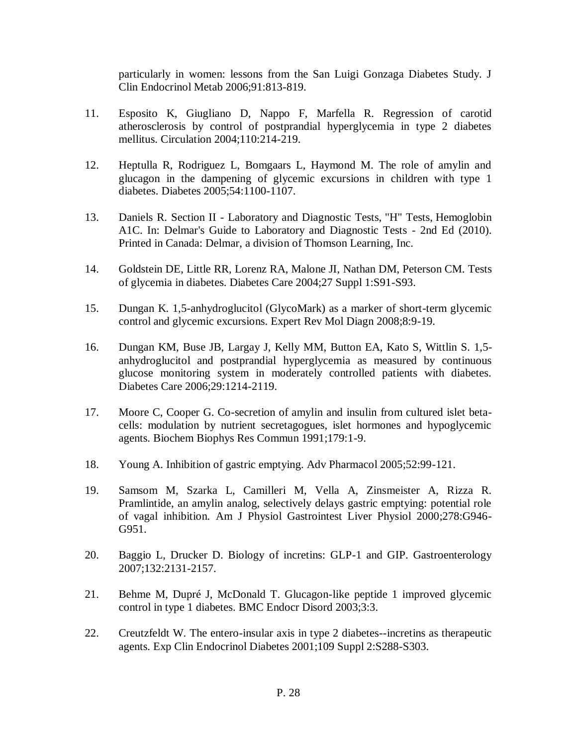particularly in women: lessons from the San Luigi Gonzaga Diabetes Study. J Clin Endocrinol Metab 2006;91:813-819.

- 11. Esposito K, Giugliano D, Nappo F, Marfella R. Regression of carotid atherosclerosis by control of postprandial hyperglycemia in type 2 diabetes mellitus. Circulation 2004;110:214-219.
- 12. Heptulla R, Rodriguez L, Bomgaars L, Haymond M. The role of amylin and glucagon in the dampening of glycemic excursions in children with type 1 diabetes. Diabetes 2005;54:1100-1107.
- 13. Daniels R. Section II Laboratory and Diagnostic Tests, "H" Tests, Hemoglobin A1C. In: Delmar's Guide to Laboratory and Diagnostic Tests - 2nd Ed (2010). Printed in Canada: Delmar, a division of Thomson Learning, Inc.
- 14. [Goldstein DE,](http://www.ncbi.nlm.nih.gov/pubmed?term=%22Goldstein%20DE%22%5BAuthor%5D) [Little RR,](http://www.ncbi.nlm.nih.gov/pubmed?term=%22Little%20RR%22%5BAuthor%5D) [Lorenz RA,](http://www.ncbi.nlm.nih.gov/pubmed?term=%22Lorenz%20RA%22%5BAuthor%5D) [Malone JI,](http://www.ncbi.nlm.nih.gov/pubmed?term=%22Malone%20JI%22%5BAuthor%5D) [Nathan DM,](http://www.ncbi.nlm.nih.gov/pubmed?term=%22Nathan%20DM%22%5BAuthor%5D) [Peterson CM.](http://www.ncbi.nlm.nih.gov/pubmed?term=%22Peterson%20CM%22%5BAuthor%5D) Tests of glycemia in diabetes. Diabetes Care 2004;27 Suppl 1:S91-S93.
- 15. Dungan K. 1,5-anhydroglucitol (GlycoMark) as a marker of short-term glycemic control and glycemic excursions. Expert Rev Mol Diagn 2008;8:9-19.
- 16. [Dungan KM,](http://www.ncbi.nlm.nih.gov/pubmed?term=%22Dungan%20KM%22%5BAuthor%5D) [Buse JB,](http://www.ncbi.nlm.nih.gov/pubmed?term=%22Buse%20JB%22%5BAuthor%5D) [Largay J,](http://www.ncbi.nlm.nih.gov/pubmed?term=%22Largay%20J%22%5BAuthor%5D) [Kelly MM,](http://www.ncbi.nlm.nih.gov/pubmed?term=%22Kelly%20MM%22%5BAuthor%5D) [Button EA,](http://www.ncbi.nlm.nih.gov/pubmed?term=%22Button%20EA%22%5BAuthor%5D) [Kato S,](http://www.ncbi.nlm.nih.gov/pubmed?term=%22Kato%20S%22%5BAuthor%5D) [Wittlin S.](http://www.ncbi.nlm.nih.gov/pubmed?term=%22Wittlin%20S%22%5BAuthor%5D) 1,5 anhydroglucitol and postprandial hyperglycemia as measured by continuous glucose monitoring system in moderately controlled patients with diabetes. Diabetes Care 2006;29:1214-2119.
- 17. Moore C, Cooper G. Co-secretion of amylin and insulin from cultured islet betacells: modulation by nutrient secretagogues, islet hormones and hypoglycemic agents. Biochem Biophys Res Commun 1991;179:1-9.
- 18. Young A. Inhibition of gastric emptying. Adv Pharmacol 2005;52:99-121.
- 19. Samsom M, Szarka L, Camilleri M, Vella A, Zinsmeister A, Rizza R. Pramlintide, an amylin analog, selectively delays gastric emptying: potential role of vagal inhibition. Am J Physiol Gastrointest Liver Physiol 2000;278:G946- G951.
- 20. Baggio L, Drucker D. Biology of incretins: GLP-1 and GIP. Gastroenterology 2007;132:2131-2157.
- 21. Behme M, Dupré J, McDonald T. Glucagon-like peptide 1 improved glycemic control in type 1 diabetes. BMC Endocr Disord 2003;3:3.
- 22. Creutzfeldt W. The entero-insular axis in type 2 diabetes--incretins as therapeutic agents. Exp Clin Endocrinol Diabetes 2001;109 Suppl 2:S288-S303.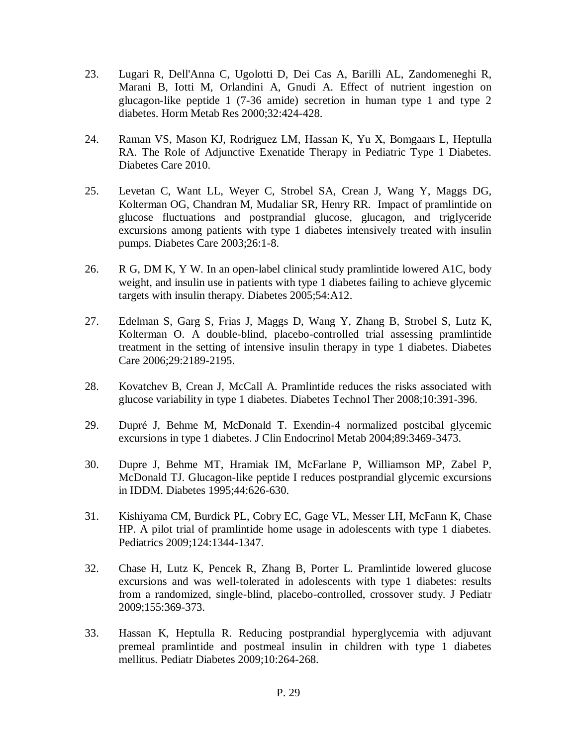- 23. [Lugari R,](http://www.ncbi.nlm.nih.gov/pubmed?term=%22Lugari%20R%22%5BAuthor%5D) [Dell'Anna C,](http://www.ncbi.nlm.nih.gov/pubmed?term=%22Dell%27Anna%20C%22%5BAuthor%5D) [Ugolotti D,](http://www.ncbi.nlm.nih.gov/pubmed?term=%22Ugolotti%20D%22%5BAuthor%5D) [Dei Cas A,](http://www.ncbi.nlm.nih.gov/pubmed?term=%22Dei%20Cas%20A%22%5BAuthor%5D) [Barilli AL,](http://www.ncbi.nlm.nih.gov/pubmed?term=%22Barilli%20AL%22%5BAuthor%5D) [Zandomeneghi R,](http://www.ncbi.nlm.nih.gov/pubmed?term=%22Zandomeneghi%20R%22%5BAuthor%5D) [Marani B,](http://www.ncbi.nlm.nih.gov/pubmed?term=%22Marani%20B%22%5BAuthor%5D) [Iotti M,](http://www.ncbi.nlm.nih.gov/pubmed?term=%22Iotti%20M%22%5BAuthor%5D) [Orlandini A,](http://www.ncbi.nlm.nih.gov/pubmed?term=%22Orlandini%20A%22%5BAuthor%5D) [Gnudi A.](http://www.ncbi.nlm.nih.gov/pubmed?term=%22Gnudi%20A%22%5BAuthor%5D) Effect of nutrient ingestion on glucagon-like peptide 1 (7-36 amide) secretion in human type 1 and type 2 diabetes. Horm Metab Res 2000;32:424-428.
- 24. [Raman VS,](http://www.ncbi.nlm.nih.gov/pubmed?term=%22Raman%20VS%22%5BAuthor%5D) [Mason KJ,](http://www.ncbi.nlm.nih.gov/pubmed?term=%22Mason%20KJ%22%5BAuthor%5D) [Rodriguez LM,](http://www.ncbi.nlm.nih.gov/pubmed?term=%22Rodriguez%20LM%22%5BAuthor%5D) [Hassan K,](http://www.ncbi.nlm.nih.gov/pubmed?term=%22Hassan%20K%22%5BAuthor%5D) [Yu X,](http://www.ncbi.nlm.nih.gov/pubmed?term=%22Yu%20X%22%5BAuthor%5D) [Bomgaars L,](http://www.ncbi.nlm.nih.gov/pubmed?term=%22Bomgaars%20L%22%5BAuthor%5D) [Heptulla](http://www.ncbi.nlm.nih.gov/pubmed?term=%22Heptulla%20RA%22%5BAuthor%5D)  [RA.](http://www.ncbi.nlm.nih.gov/pubmed?term=%22Heptulla%20RA%22%5BAuthor%5D) The Role of Adjunctive Exenatide Therapy in Pediatric Type 1 Diabetes. Diabetes Care 2010.
- 25. [Levetan C,](http://www.ncbi.nlm.nih.gov/pubmed?term=%22Levetan%20C%22%5BAuthor%5D) [Want LL,](http://www.ncbi.nlm.nih.gov/pubmed?term=%22Want%20LL%22%5BAuthor%5D) [Weyer C,](http://www.ncbi.nlm.nih.gov/pubmed?term=%22Weyer%20C%22%5BAuthor%5D) [Strobel SA,](http://www.ncbi.nlm.nih.gov/pubmed?term=%22Strobel%20SA%22%5BAuthor%5D) [Crean J,](http://www.ncbi.nlm.nih.gov/pubmed?term=%22Crean%20J%22%5BAuthor%5D) [Wang Y,](http://www.ncbi.nlm.nih.gov/pubmed?term=%22Wang%20Y%22%5BAuthor%5D) [Maggs DG,](http://www.ncbi.nlm.nih.gov/pubmed?term=%22Maggs%20DG%22%5BAuthor%5D) [Kolterman OG,](http://www.ncbi.nlm.nih.gov/pubmed?term=%22Kolterman%20OG%22%5BAuthor%5D) [Chandran M,](http://www.ncbi.nlm.nih.gov/pubmed?term=%22Chandran%20M%22%5BAuthor%5D) [Mudaliar SR,](http://www.ncbi.nlm.nih.gov/pubmed?term=%22Mudaliar%20SR%22%5BAuthor%5D) [Henry RR.](http://www.ncbi.nlm.nih.gov/pubmed?term=%22Henry%20RR%22%5BAuthor%5D) Impact of pramlintide on glucose fluctuations and postprandial glucose, glucagon, and triglyceride excursions among patients with type 1 diabetes intensively treated with insulin pumps. Diabetes Care 2003;26:1-8.
- 26. R G, DM K, Y W. In an open-label clinical study pramlintide lowered A1C, body weight, and insulin use in patients with type 1 diabetes failing to achieve glycemic targets with insulin therapy. Diabetes 2005;54:A12.
- 27. [Edelman S,](http://www.ncbi.nlm.nih.gov/pubmed?term=%22Edelman%20S%22%5BAuthor%5D) [Garg S,](http://www.ncbi.nlm.nih.gov/pubmed?term=%22Garg%20S%22%5BAuthor%5D) [Frias J,](http://www.ncbi.nlm.nih.gov/pubmed?term=%22Frias%20J%22%5BAuthor%5D) [Maggs D,](http://www.ncbi.nlm.nih.gov/pubmed?term=%22Maggs%20D%22%5BAuthor%5D) [Wang Y,](http://www.ncbi.nlm.nih.gov/pubmed?term=%22Wang%20Y%22%5BAuthor%5D) [Zhang B,](http://www.ncbi.nlm.nih.gov/pubmed?term=%22Zhang%20B%22%5BAuthor%5D) [Strobel S,](http://www.ncbi.nlm.nih.gov/pubmed?term=%22Strobel%20S%22%5BAuthor%5D) [Lutz K,](http://www.ncbi.nlm.nih.gov/pubmed?term=%22Lutz%20K%22%5BAuthor%5D) [Kolterman O.](http://www.ncbi.nlm.nih.gov/pubmed?term=%22Kolterman%20O%22%5BAuthor%5D) A double-blind, placebo-controlled trial assessing pramlintide treatment in the setting of intensive insulin therapy in type 1 diabetes. Diabetes Care 2006;29:2189-2195.
- 28. Kovatchev B, Crean J, McCall A. Pramlintide reduces the risks associated with glucose variability in type 1 diabetes. Diabetes Technol Ther 2008;10:391-396.
- 29. Dupré J, Behme M, McDonald T. Exendin-4 normalized postcibal glycemic excursions in type 1 diabetes. J Clin Endocrinol Metab 2004;89:3469-3473.
- 30. [Dupre J,](http://www.ncbi.nlm.nih.gov/pubmed?term=%22Dupre%20J%22%5BAuthor%5D) [Behme MT,](http://www.ncbi.nlm.nih.gov/pubmed?term=%22Behme%20MT%22%5BAuthor%5D) [Hramiak IM,](http://www.ncbi.nlm.nih.gov/pubmed?term=%22Hramiak%20IM%22%5BAuthor%5D) [McFarlane P,](http://www.ncbi.nlm.nih.gov/pubmed?term=%22McFarlane%20P%22%5BAuthor%5D) [Williamson MP,](http://www.ncbi.nlm.nih.gov/pubmed?term=%22Williamson%20MP%22%5BAuthor%5D) [Zabel P,](http://www.ncbi.nlm.nih.gov/pubmed?term=%22Zabel%20P%22%5BAuthor%5D) [McDonald TJ.](http://www.ncbi.nlm.nih.gov/pubmed?term=%22McDonald%20TJ%22%5BAuthor%5D) Glucagon-like peptide I reduces postprandial glycemic excursions in IDDM. Diabetes 1995;44:626-630.
- 31. [Kishiyama CM,](http://www.ncbi.nlm.nih.gov/pubmed?term=%22Kishiyama%20CM%22%5BAuthor%5D) [Burdick PL,](http://www.ncbi.nlm.nih.gov/pubmed?term=%22Burdick%20PL%22%5BAuthor%5D) [Cobry EC,](http://www.ncbi.nlm.nih.gov/pubmed?term=%22Cobry%20EC%22%5BAuthor%5D) [Gage VL,](http://www.ncbi.nlm.nih.gov/pubmed?term=%22Gage%20VL%22%5BAuthor%5D) [Messer LH,](http://www.ncbi.nlm.nih.gov/pubmed?term=%22Messer%20LH%22%5BAuthor%5D) [McFann K,](http://www.ncbi.nlm.nih.gov/pubmed?term=%22McFann%20K%22%5BAuthor%5D) [Chase](http://www.ncbi.nlm.nih.gov/pubmed?term=%22Chase%20HP%22%5BAuthor%5D)  [HP.](http://www.ncbi.nlm.nih.gov/pubmed?term=%22Chase%20HP%22%5BAuthor%5D) A pilot trial of pramlintide home usage in adolescents with type 1 diabetes. Pediatrics 2009;124:1344-1347.
- 32. Chase H, Lutz K, Pencek R, Zhang B, Porter L. Pramlintide lowered glucose excursions and was well-tolerated in adolescents with type 1 diabetes: results from a randomized, single-blind, placebo-controlled, crossover study. J Pediatr 2009;155:369-373.
- 33. Hassan K, Heptulla R. Reducing postprandial hyperglycemia with adjuvant premeal pramlintide and postmeal insulin in children with type 1 diabetes mellitus. Pediatr Diabetes 2009;10:264-268.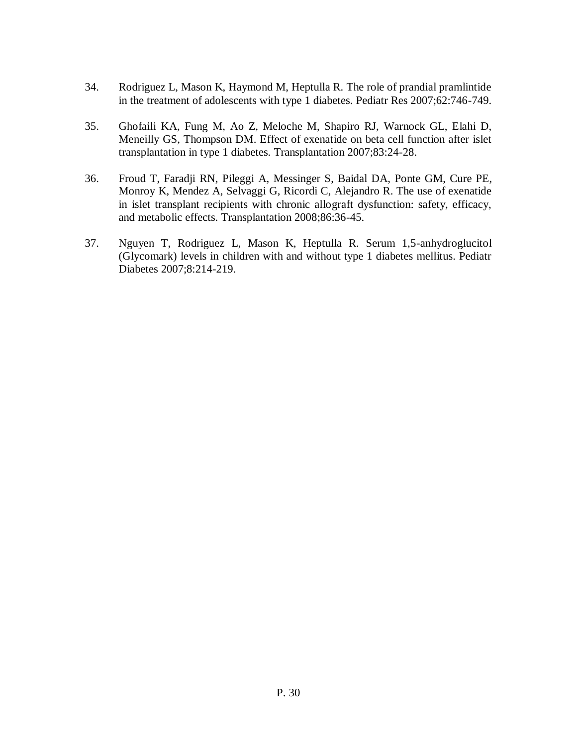- 34. Rodriguez L, Mason K, Haymond M, Heptulla R. The role of prandial pramlintide in the treatment of adolescents with type 1 diabetes. Pediatr Res 2007;62:746-749.
- 35. [Ghofaili KA,](http://www.ncbi.nlm.nih.gov/pubmed?term=%22Ghofaili%20KA%22%5BAuthor%5D) [Fung M,](http://www.ncbi.nlm.nih.gov/pubmed?term=%22Fung%20M%22%5BAuthor%5D) [Ao Z,](http://www.ncbi.nlm.nih.gov/pubmed?term=%22Ao%20Z%22%5BAuthor%5D) [Meloche M,](http://www.ncbi.nlm.nih.gov/pubmed?term=%22Meloche%20M%22%5BAuthor%5D) [Shapiro RJ,](http://www.ncbi.nlm.nih.gov/pubmed?term=%22Shapiro%20RJ%22%5BAuthor%5D) [Warnock GL,](http://www.ncbi.nlm.nih.gov/pubmed?term=%22Warnock%20GL%22%5BAuthor%5D) [Elahi D,](http://www.ncbi.nlm.nih.gov/pubmed?term=%22Elahi%20D%22%5BAuthor%5D) [Meneilly GS,](http://www.ncbi.nlm.nih.gov/pubmed?term=%22Meneilly%20GS%22%5BAuthor%5D) [Thompson DM.](http://www.ncbi.nlm.nih.gov/pubmed?term=%22Thompson%20DM%22%5BAuthor%5D) Effect of exenatide on beta cell function after islet transplantation in type 1 diabetes. Transplantation 2007;83:24-28.
- 36. [Froud T,](http://www.ncbi.nlm.nih.gov/pubmed?term=%22Froud%20T%22%5BAuthor%5D) [Faradji RN,](http://www.ncbi.nlm.nih.gov/pubmed?term=%22Faradji%20RN%22%5BAuthor%5D) [Pileggi A,](http://www.ncbi.nlm.nih.gov/pubmed?term=%22Pileggi%20A%22%5BAuthor%5D) [Messinger S,](http://www.ncbi.nlm.nih.gov/pubmed?term=%22Messinger%20S%22%5BAuthor%5D) [Baidal DA,](http://www.ncbi.nlm.nih.gov/pubmed?term=%22Baidal%20DA%22%5BAuthor%5D) [Ponte GM,](http://www.ncbi.nlm.nih.gov/pubmed?term=%22Ponte%20GM%22%5BAuthor%5D) [Cure PE,](http://www.ncbi.nlm.nih.gov/pubmed?term=%22Cure%20PE%22%5BAuthor%5D) [Monroy K,](http://www.ncbi.nlm.nih.gov/pubmed?term=%22Monroy%20K%22%5BAuthor%5D) [Mendez A,](http://www.ncbi.nlm.nih.gov/pubmed?term=%22Mendez%20A%22%5BAuthor%5D) [Selvaggi G,](http://www.ncbi.nlm.nih.gov/pubmed?term=%22Selvaggi%20G%22%5BAuthor%5D) [Ricordi C,](http://www.ncbi.nlm.nih.gov/pubmed?term=%22Ricordi%20C%22%5BAuthor%5D) [Alejandro R.](http://www.ncbi.nlm.nih.gov/pubmed?term=%22Alejandro%20R%22%5BAuthor%5D) The use of exenatide in islet transplant recipients with chronic allograft dysfunction: safety, efficacy, and metabolic effects. Transplantation 2008;86:36-45.
- 37. Nguyen T, Rodriguez L, Mason K, Heptulla R. Serum 1,5-anhydroglucitol (Glycomark) levels in children with and without type 1 diabetes mellitus. Pediatr Diabetes 2007;8:214-219.